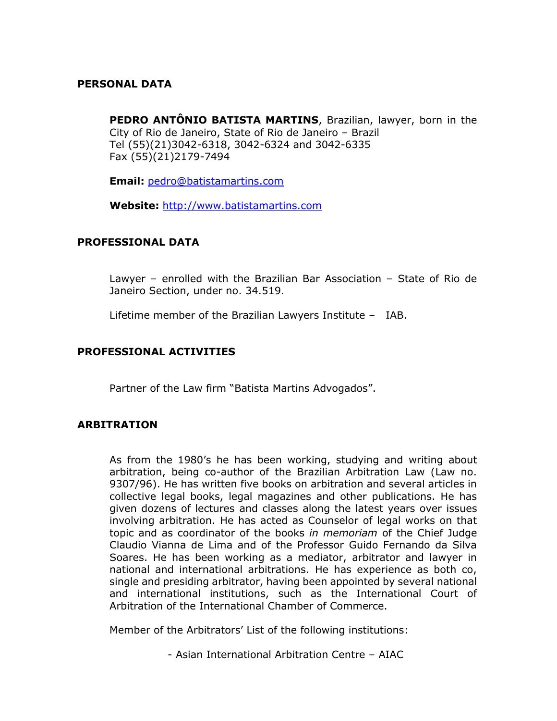### **PERSONAL DATA**

**PEDRO ANTÔNIO BATISTA MARTINS**, Brazilian, lawyer, born in the City of Rio de Janeiro, State of Rio de Janeiro – Brazil Tel (55)(21)3042-6318, 3042-6324 and 3042-6335 Fax (55)(21)2179-7494

**Email:** [pedro@batistamartins.com](mailto:pedro@batistamartins.com)

**Website:** [http://www.batistamartins.com](http://www.batistamartins.com/)

### **PROFESSIONAL DATA**

Lawyer – enrolled with the Brazilian Bar Association – State of Rio de Janeiro Section, under no. 34.519.

Lifetime member of the Brazilian Lawyers Institute – IAB.

### **PROFESSIONAL ACTIVITIES**

Partner of the Law firm "Batista Martins Advogados".

## **ARBITRATION**

As from the 1980's he has been working, studying and writing about arbitration, being co-author of the Brazilian Arbitration Law (Law no. 9307/96). He has written five books on arbitration and several articles in collective legal books, legal magazines and other publications. He has given dozens of lectures and classes along the latest years over issues involving arbitration. He has acted as Counselor of legal works on that topic and as coordinator of the books *in memoriam* of the Chief Judge Claudio Vianna de Lima and of the Professor Guido Fernando da Silva Soares. He has been working as a mediator, arbitrator and lawyer in national and international arbitrations. He has experience as both co, single and presiding arbitrator, having been appointed by several national and international institutions, such as the International Court of Arbitration of the International Chamber of Commerce.

Member of the Arbitrators' List of the following institutions:

- Asian International Arbitration Centre – AIAC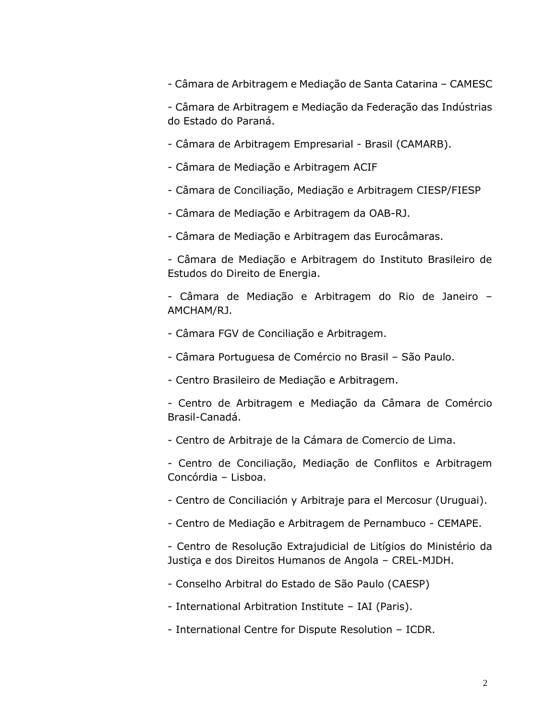- Câmara de Arbitragem e Mediação de Santa Catarina – CAMESC

- Câmara de Arbitragem e Mediação da Federação das Indústrias do Estado do Paraná.

- Câmara de Arbitragem Empresarial Brasil (CAMARB).
- Câmara de Mediação e Arbitragem ACIF
- Câmara de Conciliação, Mediação e Arbitragem CIESP/FIESP
- Câmara de Mediação e Arbitragem da OAB-RJ.
- Câmara de Mediação e Arbitragem das Eurocâmaras.
- Câmara de Mediação e Arbitragem do Instituto Brasileiro de Estudos do Direito de Energia.
- Câmara de Mediação e Arbitragem do Rio de Janeiro AMCHAM/RJ.
- Câmara FGV de Conciliação e Arbitragem.
- Câmara Portuguesa de Comércio no Brasil São Paulo.
- Centro Brasileiro de Mediação e Arbitragem.
- Centro de Arbitragem e Mediação da Câmara de Comércio Brasil-Canadá.
- Centro de Arbitraje de la Cámara de Comercio de Lima.
- Centro de Conciliação, Mediação de Conflitos e Arbitragem Concórdia – Lisboa.
- Centro de Conciliación y Arbitraje para el Mercosur (Uruguai).
- Centro de Mediação e Arbitragem de Pernambuco CEMAPE.
- Centro de Resolução Extrajudicial de Litígios do Ministério da Justiça e dos Direitos Humanos de Angola – CREL-MJDH.
- Conselho Arbitral do Estado de São Paulo (CAESP)
- International Arbitration Institute IAI (Paris).
- International Centre for Dispute Resolution ICDR.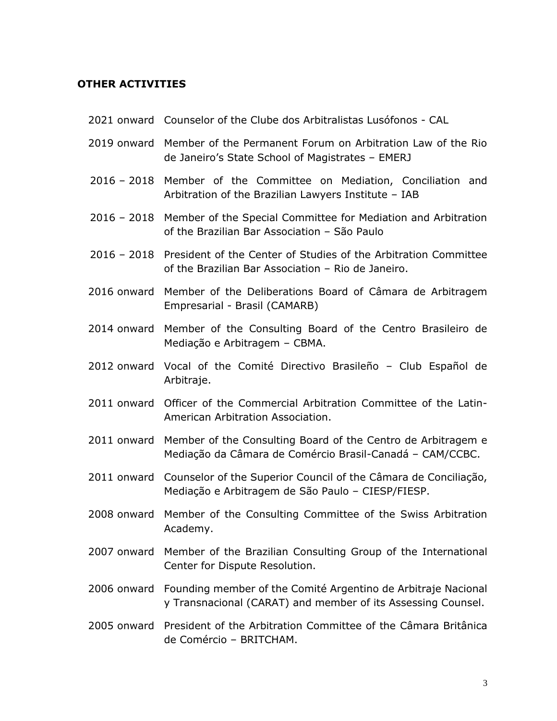### **OTHER ACTIVITIES**

- 2021 onward Counselor of the Clube dos Arbitralistas Lusófonos CAL
- 2019 onward Member of the Permanent Forum on Arbitration Law of the Rio de Janeiro's State School of Magistrates – EMERJ
- 2016 2018 Member of the Committee on Mediation, Conciliation and Arbitration of the Brazilian Lawyers Institute – IAB
- 2016 2018 Member of the Special Committee for Mediation and Arbitration of the Brazilian Bar Association – São Paulo
- 2016 2018 President of the Center of Studies of the Arbitration Committee of the Brazilian Bar Association – Rio de Janeiro.
- 2016 onward Member of the Deliberations Board of Câmara de Arbitragem Empresarial - Brasil (CAMARB)
- 2014 onward Member of the Consulting Board of the Centro Brasileiro de Mediação e Arbitragem – CBMA.
- 2012 onward Vocal of the Comité Directivo Brasileño Club Español de Arbitraje.
- 2011 onward Officer of the Commercial Arbitration Committee of the Latin-American Arbitration Association.
- 2011 onward Member of the Consulting Board of the Centro de Arbitragem e Mediação da Câmara de Comércio Brasil-Canadá – CAM/CCBC.
- 2011 onward Counselor of the Superior Council of the Câmara de Conciliação, Mediação e Arbitragem de São Paulo – CIESP/FIESP.
- 2008 onward Member of the Consulting Committee of the Swiss Arbitration Academy.
- 2007 onward Member of the Brazilian Consulting Group of the International Center for Dispute Resolution.
- 2006 onward Founding member of the Comité Argentino de Arbitraje Nacional y Transnacional (CARAT) and member of its Assessing Counsel.
- 2005 onward President of the Arbitration Committee of the Câmara Britânica de Comércio – BRITCHAM.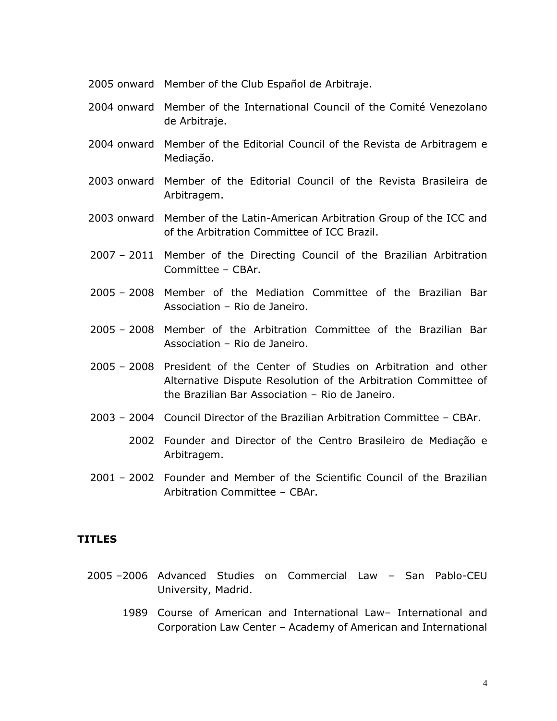- 2005 onward Member of the Club Español de Arbitraje.
- 2004 onward Member of the International Council of the Comité Venezolano de Arbitraje.
- 2004 onward Member of the Editorial Council of the Revista de Arbitragem e Mediação.
- 2003 onward Member of the Editorial Council of the Revista Brasileira de Arbitragem.
- 2003 onward Member of the Latin-American Arbitration Group of the ICC and of the Arbitration Committee of ICC Brazil.
- 2007 2011 Member of the Directing Council of the Brazilian Arbitration Committee – CBAr.
- 2005 2008 Member of the Mediation Committee of the Brazilian Bar Association – Rio de Janeiro.
- 2005 2008 Member of the Arbitration Committee of the Brazilian Bar Association – Rio de Janeiro.
- 2005 2008 President of the Center of Studies on Arbitration and other Alternative Dispute Resolution of the Arbitration Committee of the Brazilian Bar Association – Rio de Janeiro.
- 2003 2004 Council Director of the Brazilian Arbitration Committee CBAr.
	- 2002 Founder and Director of the Centro Brasileiro de Mediação e Arbitragem.
- 2001 2002 Founder and Member of the Scientific Council of the Brazilian Arbitration Committee – CBAr.

### **TITLES**

- 2005 –2006 Advanced Studies on Commercial Law San Pablo-CEU University, Madrid.
	- 1989 Course of American and International Law– International and Corporation Law Center – Academy of American and International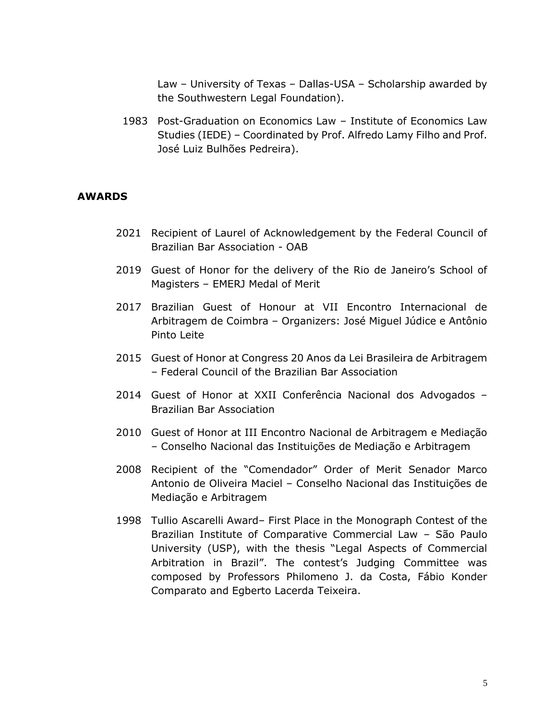Law – University of Texas – Dallas-USA – Scholarship awarded by the Southwestern Legal Foundation).

1983 Post-Graduation on Economics Law – Institute of Economics Law Studies (IEDE) – Coordinated by Prof. Alfredo Lamy Filho and Prof. José Luiz Bulhões Pedreira).

### **AWARDS**

- 2021 Recipient of Laurel of Acknowledgement by the Federal Council of Brazilian Bar Association - OAB
- 2019 Guest of Honor for the delivery of the Rio de Janeiro's School of Magisters – EMERJ Medal of Merit
- 2017 Brazilian Guest of Honour at VII Encontro Internacional de Arbitragem de Coimbra – Organizers: José Miguel Júdice e Antônio Pinto Leite
- 2015 Guest of Honor at Congress 20 Anos da Lei Brasileira de Arbitragem – Federal Council of the Brazilian Bar Association
- 2014 Guest of Honor at XXII Conferência Nacional dos Advogados Brazilian Bar Association
- 2010 Guest of Honor at III Encontro Nacional de Arbitragem e Mediação – Conselho Nacional das Instituições de Mediação e Arbitragem
- 2008 Recipient of the "Comendador" Order of Merit Senador Marco Antonio de Oliveira Maciel – Conselho Nacional das Instituições de Mediação e Arbitragem
- 1998 Tullio Ascarelli Award– First Place in the Monograph Contest of the Brazilian Institute of Comparative Commercial Law – São Paulo University (USP), with the thesis "Legal Aspects of Commercial Arbitration in Brazil". The contest's Judging Committee was composed by Professors Philomeno J. da Costa, Fábio Konder Comparato and Egberto Lacerda Teixeira.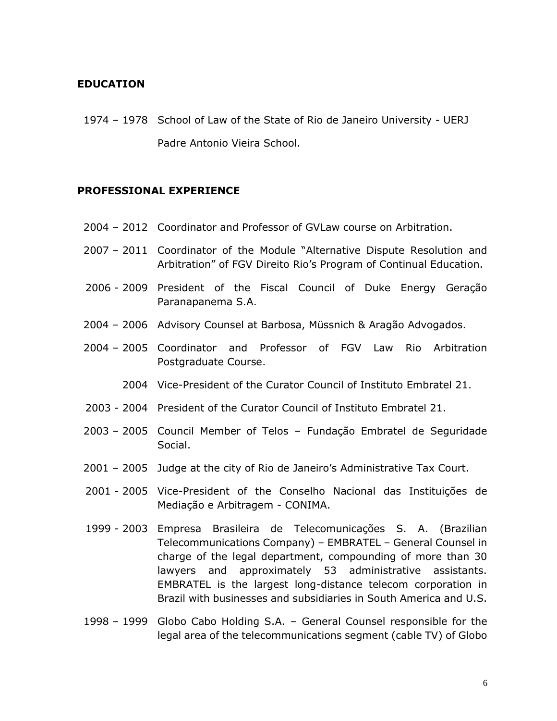### **EDUCATION**

1974 – 1978 School of Law of the State of Rio de Janeiro University - UERJ Padre Antonio Vieira School.

#### **PROFESSIONAL EXPERIENCE**

- 2004 2012 Coordinator and Professor of GVLaw course on Arbitration.
- 2007 2011 Coordinator of the Module "Alternative Dispute Resolution and Arbitration" of FGV Direito Rio's Program of Continual Education.
- 2006 2009 President of the Fiscal Council of Duke Energy Geração Paranapanema S.A.
- 2004 2006 Advisory Counsel at Barbosa, Müssnich & Aragão Advogados.
- 2004 2005 Coordinator and Professor of FGV Law Rio Arbitration Postgraduate Course.
	- 2004 Vice-President of the Curator Council of Instituto Embratel 21.
- 2003 2004 President of the Curator Council of Instituto Embratel 21.
- 2003 2005 Council Member of Telos Fundação Embratel de Seguridade Social.
- 2001 2005 Judge at the city of Rio de Janeiro's Administrative Tax Court.
- 2001 2005 Vice-President of the Conselho Nacional das Instituições de Mediação e Arbitragem - CONIMA.
- 1999 2003 Empresa Brasileira de Telecomunicações S. A. (Brazilian Telecommunications Company) – EMBRATEL – General Counsel in charge of the legal department, compounding of more than 30 lawyers and approximately 53 administrative assistants. EMBRATEL is the largest long-distance telecom corporation in Brazil with businesses and subsidiaries in South America and U.S.
- 1998 1999 Globo Cabo Holding S.A. General Counsel responsible for the legal area of the telecommunications segment (cable TV) of Globo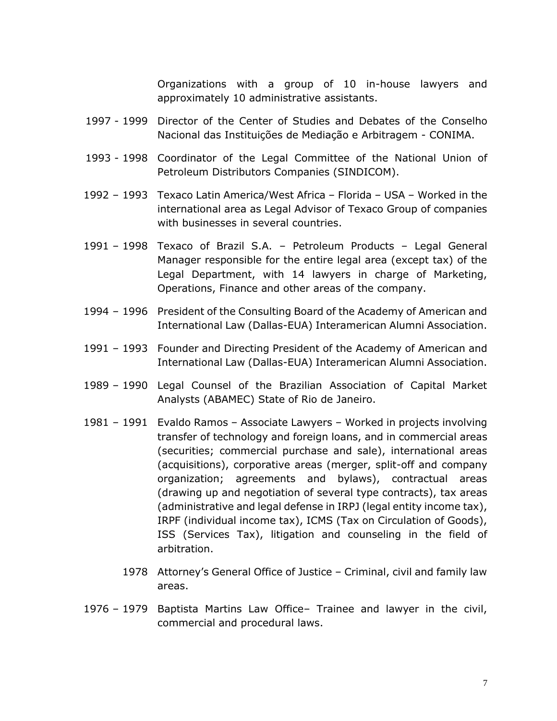Organizations with a group of 10 in-house lawyers and approximately 10 administrative assistants.

- 1997 1999 Director of the Center of Studies and Debates of the Conselho Nacional das Instituições de Mediação e Arbitragem - CONIMA.
- 1993 1998 Coordinator of the Legal Committee of the National Union of Petroleum Distributors Companies (SINDICOM).
- 1992 1993 Texaco Latin America/West Africa Florida USA Worked in the international area as Legal Advisor of Texaco Group of companies with businesses in several countries.
- 1991 1998 Texaco of Brazil S.A. Petroleum Products Legal General Manager responsible for the entire legal area (except tax) of the Legal Department, with 14 lawyers in charge of Marketing, Operations, Finance and other areas of the company.
- 1994 1996 President of the Consulting Board of the Academy of American and International Law (Dallas-EUA) Interamerican Alumni Association.
- 1991 1993 Founder and Directing President of the Academy of American and International Law (Dallas-EUA) Interamerican Alumni Association.
- 1989 1990 Legal Counsel of the Brazilian Association of Capital Market Analysts (ABAMEC) State of Rio de Janeiro.
- 1981 1991 Evaldo Ramos Associate Lawyers Worked in projects involving transfer of technology and foreign loans, and in commercial areas (securities; commercial purchase and sale), international areas (acquisitions), corporative areas (merger, split-off and company organization; agreements and bylaws), contractual areas (drawing up and negotiation of several type contracts), tax areas (administrative and legal defense in IRPJ (legal entity income tax), IRPF (individual income tax), ICMS (Tax on Circulation of Goods), ISS (Services Tax), litigation and counseling in the field of arbitration.
	- 1978 Attorney's General Office of Justice Criminal, civil and family law areas.
- 1976 1979 Baptista Martins Law Office– Trainee and lawyer in the civil, commercial and procedural laws.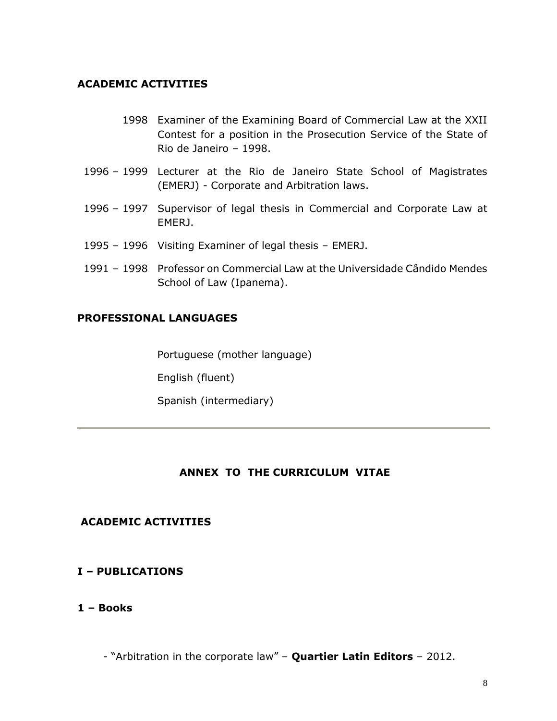### **ACADEMIC ACTIVITIES**

- 1998 Examiner of the Examining Board of Commercial Law at the XXII Contest for a position in the Prosecution Service of the State of Rio de Janeiro – 1998.
- 1996 1999 Lecturer at the Rio de Janeiro State School of Magistrates (EMERJ) - Corporate and Arbitration laws.
- 1996 1997 Supervisor of legal thesis in Commercial and Corporate Law at EMERJ.
- 1995 1996 Visiting Examiner of legal thesis EMERJ.
- 1991 1998 Professor on Commercial Law at the Universidade Cândido Mendes School of Law (Ipanema).

### **PROFESSIONAL LANGUAGES**

Portuguese (mother language)

English (fluent)

Spanish (intermediary)

## **ANNEX TO THE CURRICULUM VITAE**

### **ACADEMIC ACTIVITIES**

### **I – PUBLICATIONS**

### **1 – Books**

- "Arbitration in the corporate law" – **Quartier Latin Editors** – 2012.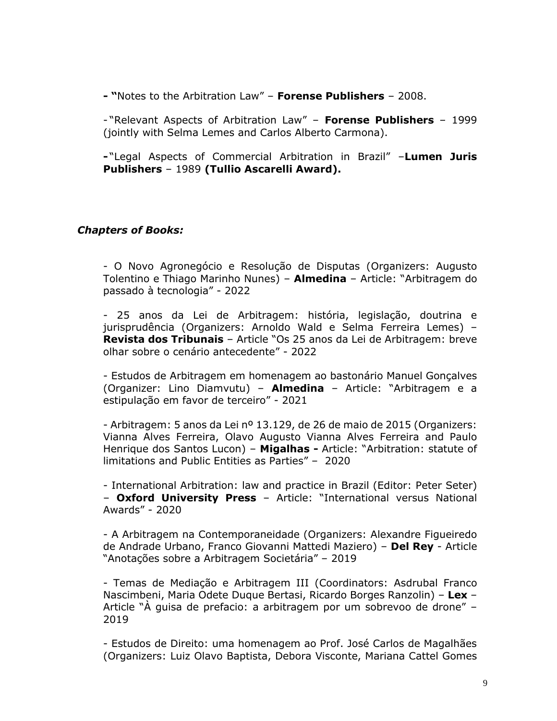**- "**Notes to the Arbitration Law" – **Forense Publishers** – 2008.

- "Relevant Aspects of Arbitration Law" – **Forense Publishers** – 1999 (jointly with Selma Lemes and Carlos Alberto Carmona).

**-** "Legal Aspects of Commercial Arbitration in Brazil" –**Lumen Juris Publishers** – 1989 **(Tullio Ascarelli Award).** 

### *Chapters of Books:*

- O Novo Agronegócio e Resolução de Disputas (Organizers: Augusto Tolentino e Thiago Marinho Nunes) – **Almedina** – Article: "Arbitragem do passado à tecnologia" - 2022

- 25 anos da Lei de Arbitragem: história, legislação, doutrina e jurisprudência (Organizers: Arnoldo Wald e Selma Ferreira Lemes) – **Revista dos Tribunais** – Article "Os 25 anos da Lei de Arbitragem: breve olhar sobre o cenário antecedente" - 2022

- Estudos de Arbitragem em homenagem ao bastonário Manuel Gonçalves (Organizer: Lino Diamvutu) – **Almedina** – Article: "Arbitragem e a estipulação em favor de terceiro" - 2021

- Arbitragem: 5 anos da Lei nº 13.129, de 26 de maio de 2015 (Organizers: Vianna Alves Ferreira, Olavo Augusto Vianna Alves Ferreira and Paulo Henrique dos Santos Lucon) – **Migalhas -** Article: "Arbitration: statute of limitations and Public Entities as Parties" – 2020

- International Arbitration: law and practice in Brazil (Editor: Peter Seter) – **Oxford University Press** – Article: "International versus National Awards" - 2020

- A Arbitragem na Contemporaneidade (Organizers: Alexandre Figueiredo de Andrade Urbano, Franco Giovanni Mattedi Maziero) – **Del Rey** - Article "Anotações sobre a Arbitragem Societária" – 2019

- Temas de Mediação e Arbitragem III (Coordinators: Asdrubal Franco Nascimbeni, Maria Odete Duque Bertasi, Ricardo Borges Ranzolin) – **Lex** – Article "À guisa de prefacio: a arbitragem por um sobrevoo de drone" – 2019

- Estudos de Direito: uma homenagem ao Prof. José Carlos de Magalhães (Organizers: Luiz Olavo Baptista, Debora Visconte, Mariana Cattel Gomes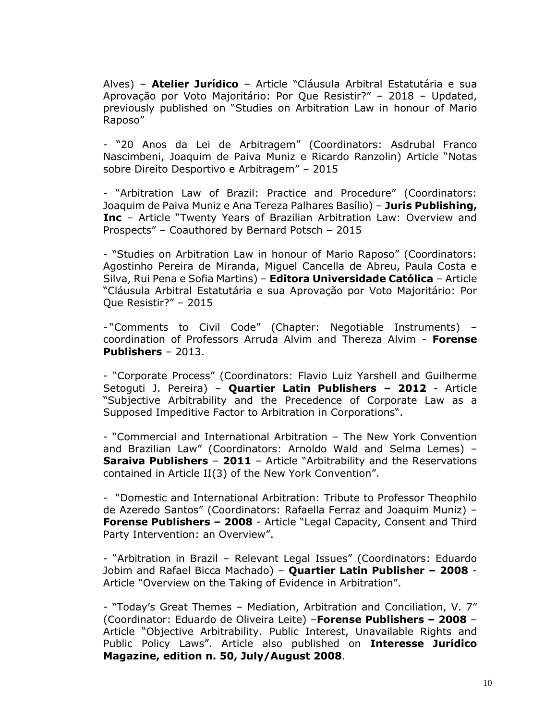Alves) – **Atelier Jurídico** – Article "Cláusula Arbitral Estatutária e sua Aprovação por Voto Majoritário: Por Que Resistir?" – 2018 – Updated, previously published on "Studies on Arbitration Law in honour of Mario Raposo"

- "20 Anos da Lei de Arbitragem" (Coordinators: Asdrubal Franco Nascimbeni, Joaquim de Paiva Muniz e Ricardo Ranzolin) Article "Notas sobre Direito Desportivo e Arbitragem" – 2015

- "Arbitration Law of Brazil: Practice and Procedure" (Coordinators: Joaquim de Paiva Muniz e Ana Tereza Palhares Basílio) – **Juris Publishing, Inc** – Article "Twenty Years of Brazilian Arbitration Law: Overview and Prospects" – Coauthored by Bernard Potsch – 2015

- "Studies on Arbitration Law in honour of Mario Raposo" (Coordinators: Agostinho Pereira de Miranda, Miguel Cancella de Abreu, Paula Costa e Silva, Rui Pena e Sofia Martins) – **Editora Universidade Católica** – Article "Cláusula Arbitral Estatutária e sua Aprovação por Voto Majoritário: Por Que Resistir?" – 2015

- "Comments to Civil Code" (Chapter: Negotiable Instruments) – coordination of Professors Arruda Alvim and Thereza Alvim - **Forense Publishers** – 2013.

- "Corporate Process" (Coordinators: Flavio Luiz Yarshell and Guilherme Setoguti J. Pereira) – **Quartier Latin Publishers – 2012** - Article "Subjective Arbitrability and the Precedence of Corporate Law as a Supposed Impeditive Factor to Arbitration in Corporations".

- "Commercial and International Arbitration – The New York Convention and Brazilian Law" (Coordinators: Arnoldo Wald and Selma Lemes) – **Saraiva Publishers** – **2011** – Article "Arbitrability and the Reservations contained in Article II(3) of the New York Convention".

- "Domestic and International Arbitration: Tribute to Professor Theophilo de Azeredo Santos" (Coordinators: Rafaella Ferraz and Joaquim Muniz) – **Forense Publishers – 2008** - Article "Legal Capacity, Consent and Third Party Intervention: an Overview".

- "Arbitration in Brazil – Relevant Legal Issues" (Coordinators: Eduardo Jobim and Rafael Bicca Machado) – **Quartier Latin Publisher – 2008** - Article "Overview on the Taking of Evidence in Arbitration".

- "Today's Great Themes – Mediation, Arbitration and Conciliation, V. 7" (Coordinator: Eduardo de Oliveira Leite) –**Forense Publishers – 2008** – Article "Objective Arbitrability. Public Interest, Unavailable Rights and Public Policy Laws". Article also published on **Interesse Jurídico Magazine, edition n. 50, July/August 2008**.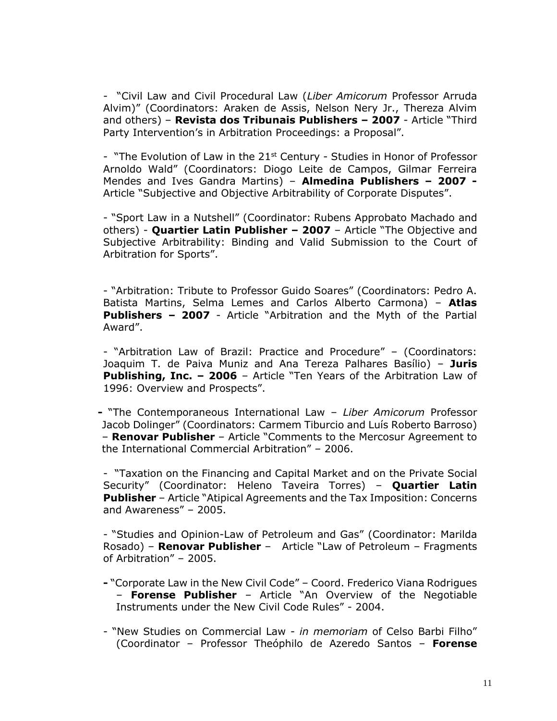- "Civil Law and Civil Procedural Law (*Liber Amicorum* Professor Arruda Alvim)" (Coordinators: Araken de Assis, Nelson Nery Jr., Thereza Alvim and others) – **Revista dos Tribunais Publishers – 2007** - Article "Third Party Intervention's in Arbitration Proceedings: a Proposal".

- "The Evolution of Law in the 21<sup>st</sup> Century - Studies in Honor of Professor Arnoldo Wald" (Coordinators: Diogo Leite de Campos, Gilmar Ferreira Mendes and Ives Gandra Martins) – **Almedina Publishers – 2007 -** Article "Subjective and Objective Arbitrability of Corporate Disputes".

- "Sport Law in a Nutshell" (Coordinator: Rubens Approbato Machado and others) - **Quartier Latin Publisher – 2007** – Article "The Objective and Subjective Arbitrability: Binding and Valid Submission to the Court of Arbitration for Sports".

- "Arbitration: Tribute to Professor Guido Soares" (Coordinators: Pedro A. Batista Martins, Selma Lemes and Carlos Alberto Carmona) – **Atlas Publishers – 2007** - Article "Arbitration and the Myth of the Partial Award".

- "Arbitration Law of Brazil: Practice and Procedure" – (Coordinators: Joaquim T. de Paiva Muniz and Ana Tereza Palhares Basílio) – **Juris Publishing, Inc. – 2006** – Article "Ten Years of the Arbitration Law of 1996: Overview and Prospects".

 **-** "The Contemporaneous International Law – *Liber Amicorum* Professor Jacob Dolinger" (Coordinators: Carmem Tiburcio and Luís Roberto Barroso) – **Renovar Publisher** – Article "Comments to the Mercosur Agreement to the International Commercial Arbitration" – 2006.

- "Taxation on the Financing and Capital Market and on the Private Social Security" (Coordinator: Heleno Taveira Torres) – **Quartier Latin Publisher** – Article "Atipical Agreements and the Tax Imposition: Concerns and Awareness" – 2005.

- "Studies and Opinion-Law of Petroleum and Gas" (Coordinator: Marilda Rosado) – **Renovar Publisher** – Article "Law of Petroleum – Fragments of Arbitration" – 2005.

**-** "Corporate Law in the New Civil Code" – Coord. Frederico Viana Rodrigues – **Forense Publisher** – Article "An Overview of the Negotiable Instruments under the New Civil Code Rules" - 2004.

- "New Studies on Commercial Law - *in memoriam* of Celso Barbi Filho" (Coordinator – Professor Theóphilo de Azeredo Santos – **Forense**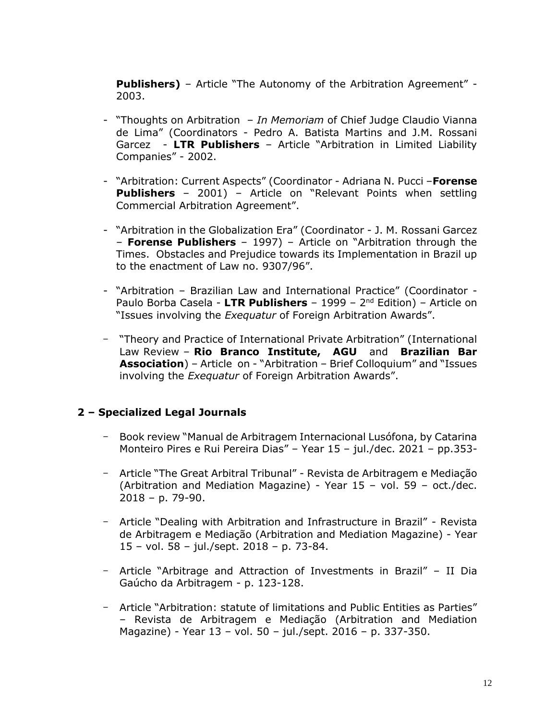**Publishers)** – Article "The Autonomy of the Arbitration Agreement" - 2003.

- "Thoughts on Arbitration *In Memoriam* of Chief Judge Claudio Vianna de Lima" (Coordinators - Pedro A. Batista Martins and J.M. Rossani Garcez - **LTR Publishers** – Article "Arbitration in Limited Liability Companies" - 2002.
- "Arbitration: Current Aspects" (Coordinator Adriana N. Pucci –**Forense Publishers** – 2001) – Article on "Relevant Points when settling Commercial Arbitration Agreement".
- "Arbitration in the Globalization Era" (Coordinator J. M. Rossani Garcez – **Forense Publishers** – 1997) – Article on "Arbitration through the Times. Obstacles and Prejudice towards its Implementation in Brazil up to the enactment of Law no. 9307/96".
- "Arbitration Brazilian Law and International Practice" (Coordinator Paulo Borba Casela - **LTR Publishers** – 1999 – 2<sup>nd</sup> Edition) – Article on "Issues involving the *Exequatur* of Foreign Arbitration Awards".
- "Theory and Practice of International Private Arbitration" (International Law Review – **Rio Branco Institute, AGU** and **Brazilian Bar Association**) – Article on - "Arbitration – Brief Colloquium" and "Issues involving the *Exequatur* of Foreign Arbitration Awards".

## **2 – Specialized Legal Journals**

- Book review "Manual de Arbitragem Internacional Lusófona, by Catarina Monteiro Pires e Rui Pereira Dias" – Year 15 – jul./dec. 2021 – pp.353-
- Article "The Great Arbitral Tribunal" Revista de Arbitragem e Mediação (Arbitration and Mediation Magazine) - Year 15 – vol. 59 – oct./dec. 2018 – p. 79-90.
- Article "Dealing with Arbitration and Infrastructure in Brazil" Revista de Arbitragem e Mediação (Arbitration and Mediation Magazine) - Year 15 – vol. 58 – jul./sept. 2018 – p. 73-84.
- Article "Arbitrage and Attraction of Investments in Brazil" II Dia Gaúcho da Arbitragem - p. 123-128.
- Article "Arbitration: statute of limitations and Public Entities as Parties" – Revista de Arbitragem e Mediação (Arbitration and Mediation Magazine) - Year 13 – vol. 50 – jul./sept. 2016 – p. 337-350.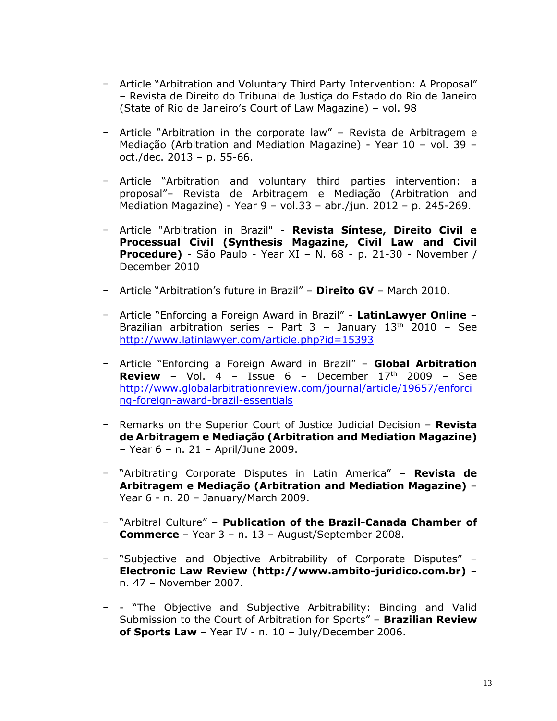- Article "Arbitration and Voluntary Third Party Intervention: A Proposal" – Revista de Direito do Tribunal de Justiça do Estado do Rio de Janeiro (State of Rio de Janeiro's Court of Law Magazine) – vol. 98
- Article "Arbitration in the corporate law" Revista de Arbitragem e Mediação (Arbitration and Mediation Magazine) - Year 10 – vol. 39 – oct./dec. 2013 – p. 55-66.
- Article "Arbitration and voluntary third parties intervention: a proposal"– Revista de Arbitragem e Mediação (Arbitration and Mediation Magazine) - Year 9 – vol.33 – abr./jun. 2012 – p. 245-269.
- Article "Arbitration in Brazil" **Revista Síntese, Direito Civil e Processual Civil (Synthesis Magazine, Civil Law and Civil Procedure)** - São Paulo - Year XI – N. 68 - p. 21-30 - November / December 2010
- Article "Arbitration's future in Brazil" **Direito GV** March 2010.
- Article "Enforcing a Foreign Award in Brazil" **LatinLawyer Online** Brazilian arbitration series - Part  $3$  - January  $13<sup>th</sup>$  2010 - See <http://www.latinlawyer.com/article.php?id=15393>
- Article "Enforcing a Foreign Award in Brazil" **Global Arbitration Review** – Vol. 4 – Issue 6 – December  $17<sup>th</sup>$  2009 – See [http://www.globalarbitrationreview.com/journal/article/19657/enforci](http://www.globalarbitrationreview.com/journal/article/19657/enforcing-foreign-award-brazil-essentials) [ng-foreign-award-brazil-essentials](http://www.globalarbitrationreview.com/journal/article/19657/enforcing-foreign-award-brazil-essentials)
- Remarks on the Superior Court of Justice Judicial Decision **Revista de Arbitragem e Mediação (Arbitration and Mediation Magazine)** – Year 6 – n. 21 – April/June 2009.
- "Arbitrating Corporate Disputes in Latin America" **Revista de Arbitragem e Mediação (Arbitration and Mediation Magazine)** – Year 6 - n. 20 – January/March 2009.
- "Arbitral Culture" **Publication of the Brazil-Canada Chamber of Commerce** – Year 3 – n. 13 – August/September 2008.
- "Subjective and Objective Arbitrability of Corporate Disputes" **Electronic Law Review (http://www.ambito-juridico.com.br)** – n. 47 – November 2007.
- - "The Objective and Subjective Arbitrability: Binding and Valid Submission to the Court of Arbitration for Sports" – **Brazilian Review of Sports Law** – Year IV - n. 10 – July/December 2006.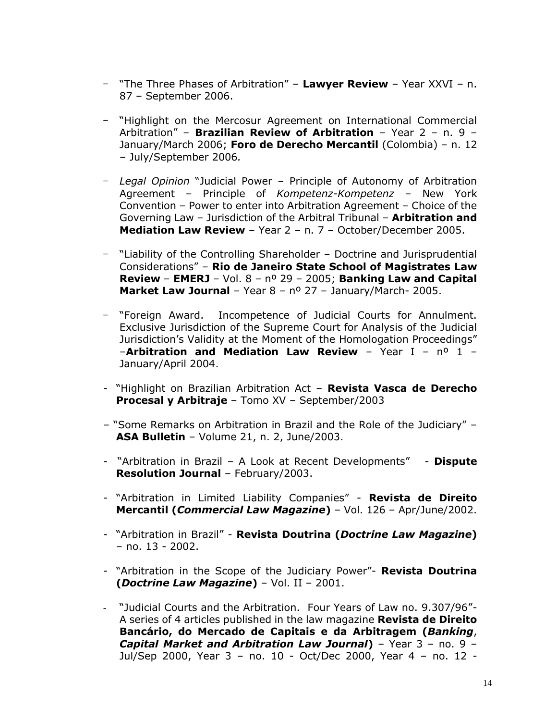- "The Three Phases of Arbitration" **Lawyer Review** Year XXVI n. 87 – September 2006.
- "Highlight on the Mercosur Agreement on International Commercial Arbitration" – **Brazilian Review of Arbitration** – Year 2 – n. 9 – January/March 2006; **Foro de Derecho Mercantil** (Colombia) – n. 12 – July/September 2006*.*
- *Legal Opinion* "Judicial Power Principle of Autonomy of Arbitration Agreement – Principle of *Kompetenz-Kompetenz* – New York Convention – Power to enter into Arbitration Agreement – Choice of the Governing Law – Jurisdiction of the Arbitral Tribunal – **Arbitration and Mediation Law Review** – Year 2 – n. 7 – October/December 2005.
- "Liability of the Controlling Shareholder Doctrine and Jurisprudential Considerations" – **Rio de Janeiro State School of Magistrates Law Review** – **EMERJ** – Vol. 8 – nº 29 – 2005; **Banking Law and Capital Market Law Journal** – Year 8 – nº 27 – January/March- 2005.
- "Foreign Award. Incompetence of Judicial Courts for Annulment. Exclusive Jurisdiction of the Supreme Court for Analysis of the Judicial Jurisdiction's Validity at the Moment of the Homologation Proceedings" –**Arbitration and Mediation Law Review** – Year I – nº 1 – January/April 2004.
- "Highlight on Brazilian Arbitration Act **Revista Vasca de Derecho Procesal y Arbitraje** – Tomo XV – September/2003
- "Some Remarks on Arbitration in Brazil and the Role of the Judiciary" **ASA Bulletin** – Volume 21, n. 2, June/2003.
- "Arbitration in Brazil A Look at Recent Developments" **Dispute Resolution Journal** – February/2003.
- "Arbitration in Limited Liability Companies" **Revista de Direito Mercantil (***Commercial Law Magazine***)** – Vol. 126 – Apr/June/2002.
- "Arbitration in Brazil" **Revista Doutrina (***Doctrine Law Magazine***)** – no. 13 - 2002.
- "Arbitration in the Scope of the Judiciary Power"- **Revista Doutrina (***Doctrine Law Magazine***)** – Vol. II – 2001.
- "Judicial Courts and the Arbitration. Four Years of Law no. 9.307/96"- A series of 4 articles published in the law magazine **Revista de Direito Bancário, do Mercado de Capitais e da Arbitragem (***Banking*, *Capital Market and Arbitration Law Journal***)** – Year 3 – no. 9 – Jul/Sep 2000, Year 3 – no. 10 - Oct/Dec 2000, Year 4 – no. 12 -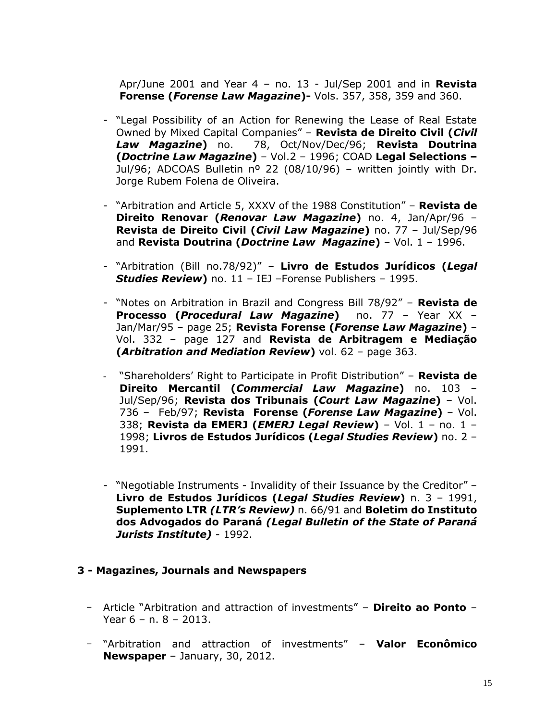Apr/June 2001 and Year 4 – no. 13 - Jul/Sep 2001 and in **Revista Forense (***Forense Law Magazine***)-** Vols. 357, 358, 359 and 360.

- "Legal Possibility of an Action for Renewing the Lease of Real Estate Owned by Mixed Capital Companies" – **Revista de Direito Civil (***Civil Law Magazine***)** no. 78, Oct/Nov/Dec/96; **Revista Doutrina (***Doctrine Law Magazine***)** – Vol.2 – 1996; COAD **Legal Selections –** Jul/96; ADCOAS Bulletin nº 22 (08/10/96) – written jointly with Dr. Jorge Rubem Folena de Oliveira.
- "Arbitration and Article 5, XXXV of the 1988 Constitution" **Revista de Direito Renovar (***Renovar Law Magazine***)** no. 4, Jan/Apr/96 – **Revista de Direito Civil (***Civil Law Magazine***)** no. 77 – Jul/Sep/96 and **Revista Doutrina (***Doctrine Law Magazine***)** – Vol. 1 – 1996.
- "Arbitration (Bill no.78/92)" **Livro de Estudos Jurídicos (***Legal Studies Review***)** no. 11 – IEJ –Forense Publishers – 1995.
- "Notes on Arbitration in Brazil and Congress Bill 78/92" **Revista de Processo (***Procedural Law Magazine***)** no. 77 – Year XX – Jan/Mar/95 – page 25; **Revista Forense (***Forense Law Magazine***)** – Vol. 332 – page 127 and **Revista de Arbitragem e Mediação (***Arbitration and Mediation Review***)** vol. 62 – page 363.
- "Shareholders' Right to Participate in Profit Distribution" **Revista de Direito Mercantil (***Commercial Law Magazine***)** no. 103 – Jul/Sep/96; **Revista dos Tribunais (***Court Law Magazine***)** – Vol. 736 – Feb/97; **Revista Forense (***Forense Law Magazine***)** – Vol. 338; **Revista da EMERJ (***EMERJ Legal Review***)** – Vol. 1 – no. 1 – 1998; **Livros de Estudos Jurídicos (***Legal Studies Review***)** no. 2 – 1991.
- "Negotiable Instruments Invalidity of their Issuance by the Creditor" **Livro de Estudos Jurídicos (***Legal Studies Review***)** n. 3 – 1991, **Suplemento LTR** *(LTR's Review)* n. 66/91 and **Boletim do Instituto dos Advogados do Paraná** *(Legal Bulletin of the State of Paraná Jurists Institute)* - 1992.

### **3 - Magazines, Journals and Newspapers**

- Article "Arbitration and attraction of investments" **Direito ao Ponto** Year 6 – n. 8 – 2013.
- "Arbitration and attraction of investments" **Valor Econômico Newspaper** – January, 30, 2012.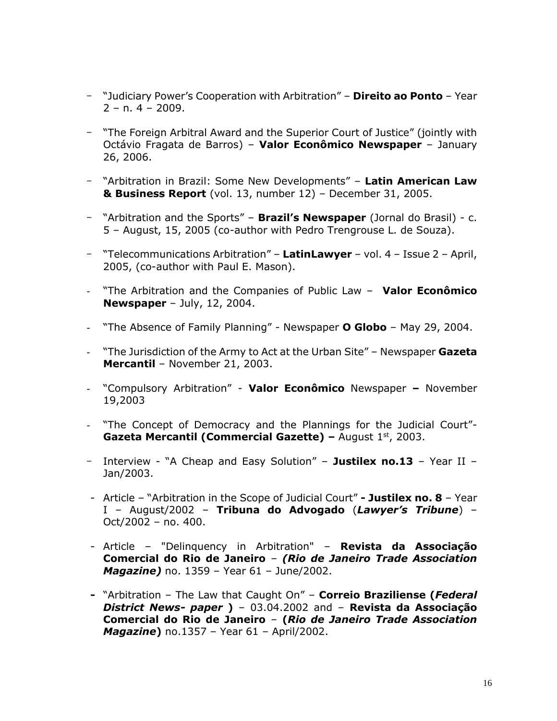- "Judiciary Power's Cooperation with Arbitration" **Direito ao Ponto** Year  $2 - n. 4 - 2009.$
- "The Foreign Arbitral Award and the Superior Court of Justice" (jointly with Octávio Fragata de Barros) – **Valor Econômico Newspaper** – January 26, 2006.
- "Arbitration in Brazil: Some New Developments" **Latin American Law & Business Report** (vol. 13, number 12) – December 31, 2005.
- "Arbitration and the Sports" **Brazil's Newspaper** (Jornal do Brasil) c. 5 – August, 15, 2005 (co-author with Pedro Trengrouse L. de Souza).
- "Telecommunications Arbitration" **LatinLawyer** vol. 4 Issue 2 April, 2005, (co-author with Paul E. Mason).
- "The Arbitration and the Companies of Public Law **Valor Econômico Newspaper** – July, 12, 2004.
- "The Absence of Family Planning" Newspaper **O Globo** May 29, 2004.
- "The Jurisdiction of the Army to Act at the Urban Site" Newspaper **Gazeta Mercantil** – November 21, 2003.
- "Compulsory Arbitration" **Valor Econômico** Newspaper **–** November 19,2003
- "The Concept of Democracy and the Plannings for the Judicial Court"-**Gazeta Mercantil (Commercial Gazette) – August 1st, 2003.**
- Interview "A Cheap and Easy Solution" **Justilex no.13** Year II Jan/2003.
- Article "Arbitration in the Scope of Judicial Court" **- Justilex no. 8** Year I – August/2002 – **Tribuna do Advogado** (*Lawyer's Tribune*) – Oct/2002 – no. 400.
- Article "Delinquency in Arbitration" **Revista da Associação Comercial do Rio de Janeiro** – *(Rio de Janeiro Trade Association Magazine)* no. 1359 – Year 61 – June/2002.
- **-** "Arbitration The Law that Caught On" **Correio Braziliense (***Federal District News- paper* **)** – 03.04.2002 and – **Revista da Associação Comercial do Rio de Janeiro** – **(***Rio de Janeiro Trade Association Magazine***)** no.1357 – Year 61 – April/2002.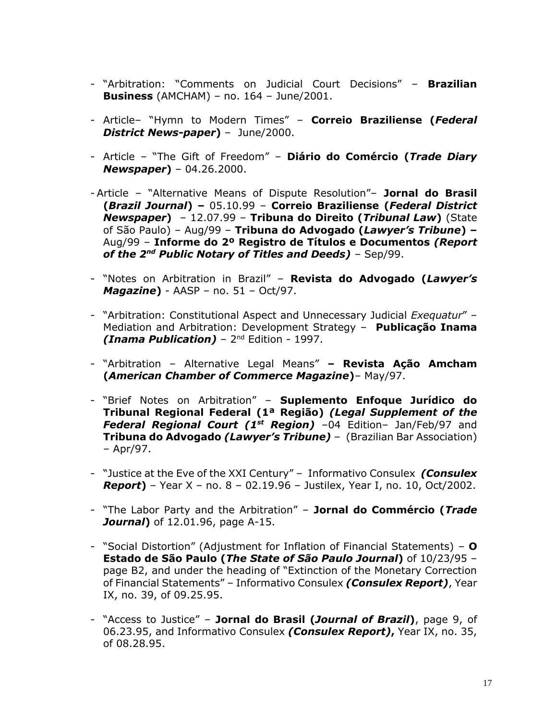- "Arbitration: "Comments on Judicial Court Decisions" **Brazilian Business** (AMCHAM) – no. 164 – June/2001.
- Article– "Hymn to Modern Times" **Correio Braziliense (***Federal District News-paper***)** – June/2000.
- Article "The Gift of Freedom" **Diário do Comércio (***Trade Diary Newspaper***)** – 04.26.2000.
- Article "Alternative Means of Dispute Resolution"– **Jornal do Brasil (***Brazil Journal***) –** 05.10.99 – **Correio Braziliense (***Federal District Newspaper***)** – 12.07.99 – **Tribuna do Direito (***Tribunal Law***)** (State of São Paulo) – Aug/99 – **Tribuna do Advogado (***Lawyer's Tribune***) –** Aug/99 – **Informe do 2º Registro de Títulos e Documentos** *(Report of the 2nd Public Notary of Titles and Deeds)* – Sep/99.
- "Notes on Arbitration in Brazil" **Revista do Advogado (***Lawyer's Magazine***)** - AASP – no. 51 – Oct/97.
- "Arbitration: Constitutional Aspect and Unnecessary Judicial *Exequatur*" Mediation and Arbitration: Development Strategy – **Publicação Inama (Inama Publication)** - 2<sup>nd</sup> Edition - 1997.
- "Arbitration Alternative Legal Means" **– Revista Ação Amcham (***American Chamber of Commerce Magazine***)**– May/97.
- "Brief Notes on Arbitration" **Suplemento Enfoque Jurídico do Tribunal Regional Federal (1ª Região)** *(Legal Supplement of the Federal Regional Court (1st Region)* –04 Edition– Jan/Feb/97 and **Tribuna do Advogado** *(Lawyer's Tribune)* – (Brazilian Bar Association) – Apr/97.
- "Justice at the Eve of the XXI Century" Informativo Consulex *(Consulex Report***)** – Year X – no. 8 – 02.19.96 – Justilex, Year I, no. 10, Oct/2002.
- "The Labor Party and the Arbitration" **Jornal do Commércio (***Trade Journal***)** of 12.01.96, page A-15.
- "Social Distortion" (Adjustment for Inflation of Financial Statements) **O Estado de São Paulo (***The State of São Paulo Journal***)** of 10/23/95 – page B2, and under the heading of "Extinction of the Monetary Correction of Financial Statements" – Informativo Consulex *(Consulex Report)*, Year IX, no. 39, of 09.25.95.
- "Access to Justice" **Jornal do Brasil (***Journal of Brazil***)**, page 9, of 06.23.95, and Informativo Consulex *(Consulex Report)***,** Year IX, no. 35, of 08.28.95.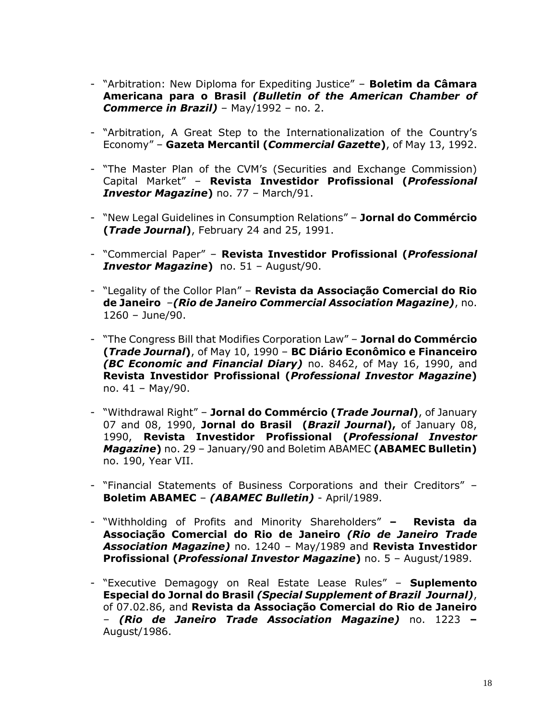- "Arbitration: New Diploma for Expediting Justice" **Boletim da Câmara Americana para o Brasil** *(Bulletin of the American Chamber of Commerce in Brazil)* – May/1992 – no. 2.
- "Arbitration, A Great Step to the Internationalization of the Country's Economy" – **Gazeta Mercantil (***Commercial Gazette***)**, of May 13, 1992.
- "The Master Plan of the CVM's (Securities and Exchange Commission) Capital Market" – **Revista Investidor Profissional (***Professional Investor Magazine***)** no. 77 – March/91.
- "New Legal Guidelines in Consumption Relations" **Jornal do Commércio (***Trade Journal***)**, February 24 and 25, 1991.
- "Commercial Paper" **Revista Investidor Profissional (***Professional Investor Magazine***)** no. 51 – August/90.
- "Legality of the Collor Plan" **Revista da Associação Comercial do Rio de Janeiro** *–(Rio de Janeiro Commercial Association Magazine)*, no. 1260 – June/90.
- "The Congress Bill that Modifies Corporation Law" **Jornal do Commércio (***Trade Journal***)**, of May 10, 1990 – **BC Diário Econômico e Financeiro** *(BC Economic and Financial Diary)* no. 8462, of May 16, 1990, and **Revista Investidor Profissional (***Professional Investor Magazine***)** no. 41 – May/90.
- "Withdrawal Right" **Jornal do Commércio (***Trade Journal***)**, of January 07 and 08, 1990, **Jornal do Brasil (***Brazil Journal***),** of January 08, 1990, **Revista Investidor Profissional (***Professional Investor Magazine***)** no. 29 – January/90 and Boletim ABAMEC **(ABAMEC Bulletin)**  no. 190, Year VII.
- "Financial Statements of Business Corporations and their Creditors" **Boletim ABAMEC** – *(ABAMEC Bulletin)* - April/1989.
- "Withholding of Profits and Minority Shareholders" **– Revista da Associação Comercial do Rio de Janeiro** *(Rio de Janeiro Trade Association Magazine)* no. 1240 – May/1989 and **Revista Investidor Profissional (***Professional Investor Magazine***)** no. 5 – August/1989.
- "Executive Demagogy on Real Estate Lease Rules" **Suplemento Especial do Jornal do Brasil** *(Special Supplement of Brazil Journal)*, of 07.02.86, and **Revista da Associação Comercial do Rio de Janeiro**  – *(Rio de Janeiro Trade Association Magazine)* no. 1223 **–** August/1986.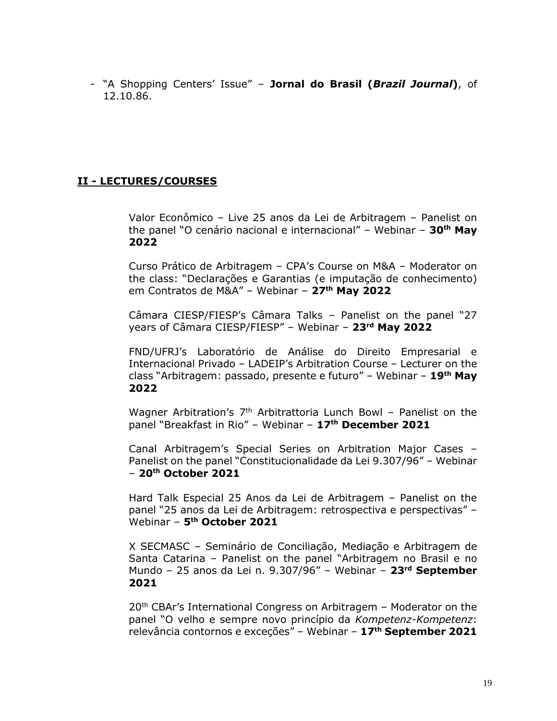- "A Shopping Centers' Issue" – **Jornal do Brasil (***Brazil Journal***)**, of 12.10.86.

# **II - LECTURES/COURSES**

Valor Econômico – Live 25 anos da Lei de Arbitragem – Panelist on the panel "O cenário nacional e internacional" – Webinar – **30th May 2022**

Curso Prático de Arbitragem – CPA's Course on M&A – Moderator on the class: "Declarações e Garantias (e imputação de conhecimento) em Contratos de M&A" – Webinar – **27th May 2022**

Câmara CIESP/FIESP's Câmara Talks – Panelist on the panel "27 years of Câmara CIESP/FIESP" – Webinar – **23rd May 2022**

FND/UFRJ's Laboratório de Análise do Direito Empresarial e Internacional Privado – LADEIP's Arbitration Course – Lecturer on the class "Arbitragem: passado, presente e futuro" – Webinar – **19th May 2022**

Wagner Arbitration's  $7<sup>th</sup>$  Arbitrattoria Lunch Bowl – Panelist on the panel "Breakfast in Rio" – Webinar – **17th December 2021**

Canal Arbitragem's Special Series on Arbitration Major Cases – Panelist on the panel "Constitucionalidade da Lei 9.307/96" – Webinar – **20th October 2021**

Hard Talk Especial 25 Anos da Lei de Arbitragem – Panelist on the panel "25 anos da Lei de Arbitragem: retrospectiva e perspectivas" – Webinar – **5 th October 2021**

X SECMASC – Seminário de Conciliação, Mediação e Arbitragem de Santa Catarina – Panelist on the panel "Arbitragem no Brasil e no Mundo – 25 anos da Lei n. 9.307/96" – Webinar – **23rd September 2021**

20<sup>th</sup> CBAr's International Congress on Arbitragem - Moderator on the panel "O velho e sempre novo princípio da *Kompetenz-Kompetenz*: relevância contornos e exceções" – Webinar – **17th September 2021**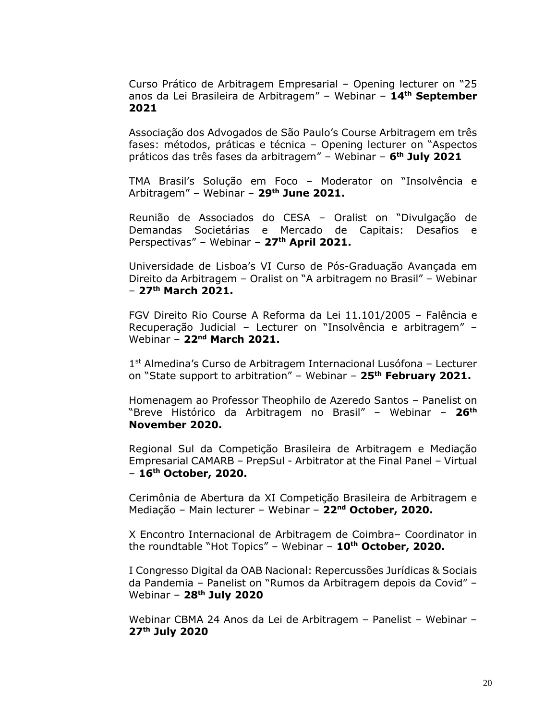Curso Prático de Arbitragem Empresarial – Opening lecturer on "25 anos da Lei Brasileira de Arbitragem" – Webinar – **14th September 2021**

Associação dos Advogados de São Paulo's Course Arbitragem em três fases: métodos, práticas e técnica – Opening lecturer on "Aspectos práticos das três fases da arbitragem" – Webinar – **6 th July 2021**

TMA Brasil's Solução em Foco – Moderator on "Insolvência e Arbitragem" – Webinar – **29th June 2021.**

Reunião de Associados do CESA – Oralist on "Divulgação de Demandas Societárias e Mercado de Capitais: Desafios e Perspectivas" – Webinar – **27th April 2021.**

Universidade de Lisboa's VI Curso de Pós-Graduação Avançada em Direito da Arbitragem – Oralist on "A arbitragem no Brasil" – Webinar – **27 th March 2021.**

FGV Direito Rio Course A Reforma da Lei 11.101/2005 – Falência e Recuperação Judicial – Lecturer on "Insolvência e arbitragem" – Webinar – **22nd March 2021.**

1 st Almedina's Curso de Arbitragem Internacional Lusófona – Lecturer on "State support to arbitration" – Webinar – **25th February 2021.**

Homenagem ao Professor Theophilo de Azeredo Santos – Panelist on "Breve Histórico da Arbitragem no Brasil" – Webinar – **26th November 2020.**

Regional Sul da Competição Brasileira de Arbitragem e Mediação Empresarial CAMARB – PrepSul - Arbitrator at the Final Panel – Virtual – **16th October, 2020.**

Cerimônia de Abertura da XI Competição Brasileira de Arbitragem e Mediação – Main lecturer – Webinar – **22nd October, 2020.**

X Encontro Internacional de Arbitragem de Coimbra– Coordinator in the roundtable "Hot Topics" – Webinar – **10th October, 2020.**

I Congresso Digital da OAB Nacional: Repercussões Jurídicas & Sociais da Pandemia – Panelist on "Rumos da Arbitragem depois da Covid" – Webinar – **28th July 2020**

Webinar CBMA 24 Anos da Lei de Arbitragem – Panelist – Webinar – **27th July 2020**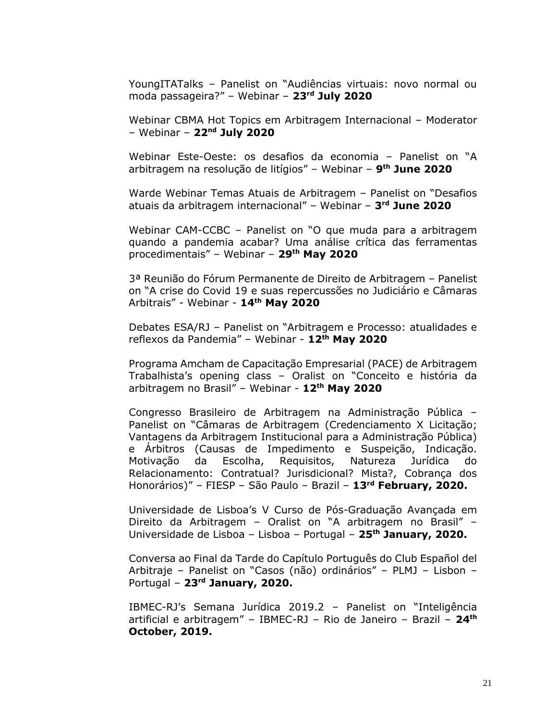YoungITATalks – Panelist on "Audiências virtuais: novo normal ou moda passageira?" – Webinar – **23rd July 2020**

Webinar CBMA Hot Topics em Arbitragem Internacional – Moderator – Webinar – **22nd July 2020**

Webinar Este-Oeste: os desafios da economia – Panelist on "A arbitragem na resolução de litígios" – Webinar – **9 th June 2020**

Warde Webinar Temas Atuais de Arbitragem – Panelist on "Desafios atuais da arbitragem internacional" – Webinar – **3 rd June 2020**

Webinar CAM-CCBC – Panelist on "O que muda para a arbitragem quando a pandemia acabar? Uma análise crítica das ferramentas procedimentais" – Webinar – **29th May 2020**

3ª Reunião do Fórum Permanente de Direito de Arbitragem – Panelist on "A crise do Covid 19 e suas repercussões no Judiciário e Câmaras Arbitrais" - Webinar - **14th May 2020**

Debates ESA/RJ – Panelist on "Arbitragem e Processo: atualidades e reflexos da Pandemia" – Webinar - **12th May 2020**

Programa Amcham de Capacitação Empresarial (PACE) de Arbitragem Trabalhista's opening class – Oralist on "Conceito e história da arbitragem no Brasil" – Webinar - **12th May 2020**

Congresso Brasileiro de Arbitragem na Administração Pública – Panelist on "Câmaras de Arbitragem (Credenciamento X Licitação; Vantagens da Arbitragem Institucional para a Administração Pública) e Árbitros (Causas de Impedimento e Suspeição, Indicação. Motivação da Escolha, Requisitos, Natureza Jurídica do Relacionamento: Contratual? Jurisdicional? Mista?, Cobrança dos Honorários)" – FIESP – São Paulo – Brazil – **13rd February, 2020.**

Universidade de Lisboa's V Curso de Pós-Graduação Avançada em Direito da Arbitragem – Oralist on "A arbitragem no Brasil" – Universidade de Lisboa – Lisboa – Portugal – **25th January, 2020.**

Conversa ao Final da Tarde do Capítulo Português do Club Español del Arbitraje – Panelist on "Casos (não) ordinários" – PLMJ – Lisbon – Portugal – **23rd January, 2020.**

IBMEC-RJ's Semana Jurídica 2019.2 – Panelist on "Inteligência artificial e arbitragem" – IBMEC-RJ – Rio de Janeiro – Brazil – **24th October, 2019.**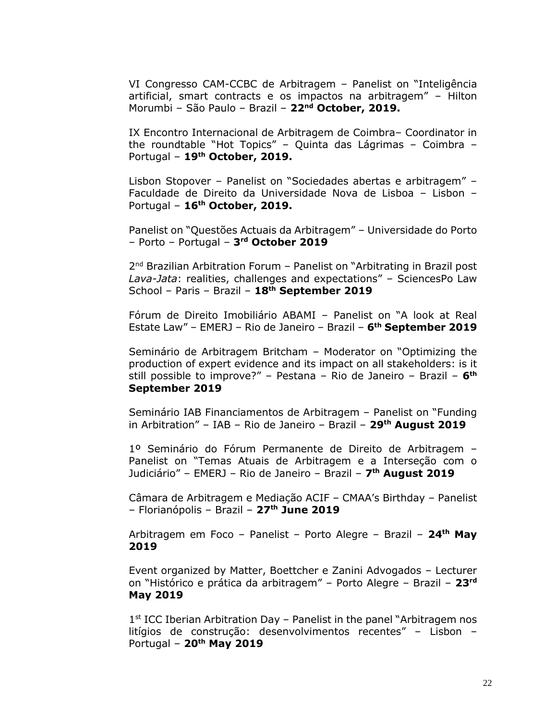VI Congresso CAM-CCBC de Arbitragem – Panelist on "Inteligência artificial, smart contracts e os impactos na arbitragem" – Hilton Morumbi – São Paulo – Brazil – **22nd October, 2019.**

IX Encontro Internacional de Arbitragem de Coimbra– Coordinator in the roundtable "Hot Topics" – Quinta das Lágrimas – Coimbra – Portugal – **19th October, 2019.**

Lisbon Stopover – Panelist on "Sociedades abertas e arbitragem" – Faculdade de Direito da Universidade Nova de Lisboa – Lisbon – Portugal – **16th October, 2019.**

Panelist on "Questões Actuais da Arbitragem" – Universidade do Porto – Porto – Portugal – **3 rd October 2019**

2<sup>nd</sup> Brazilian Arbitration Forum - Panelist on "Arbitrating in Brazil post *Lava-Jata*: realities, challenges and expectations" – SciencesPo Law School – Paris – Brazil – **18th September 2019**

Fórum de Direito Imobiliário ABAMI – Panelist on "A look at Real Estate Law" – EMERJ – Rio de Janeiro – Brazil – **6 th September 2019**

Seminário de Arbitragem Britcham – Moderator on "Optimizing the production of expert evidence and its impact on all stakeholders: is it still possible to improve?" – Pestana – Rio de Janeiro – Brazil – **6 th September 2019**

Seminário IAB Financiamentos de Arbitragem – Panelist on "Funding in Arbitration" – IAB – Rio de Janeiro – Brazil – **29th August 2019**

1º Seminário do Fórum Permanente de Direito de Arbitragem – Panelist on "Temas Atuais de Arbitragem e a Interseção com o Judiciário" – EMERJ – Rio de Janeiro – Brazil – **7 th August 2019**

Câmara de Arbitragem e Mediação ACIF – CMAA's Birthday – Panelist – Florianópolis – Brazil – **27th June 2019**

Arbitragem em Foco – Panelist – Porto Alegre – Brazil – **24th May 2019**

Event organized by Matter, Boettcher e Zanini Advogados – Lecturer on "Histórico e prática da arbitragem" – Porto Alegre – Brazil – **23rd May 2019**

1<sup>st</sup> ICC Iberian Arbitration Day - Panelist in the panel "Arbitragem nos litígios de construção: desenvolvimentos recentes" – Lisbon – Portugal – **20th May 2019**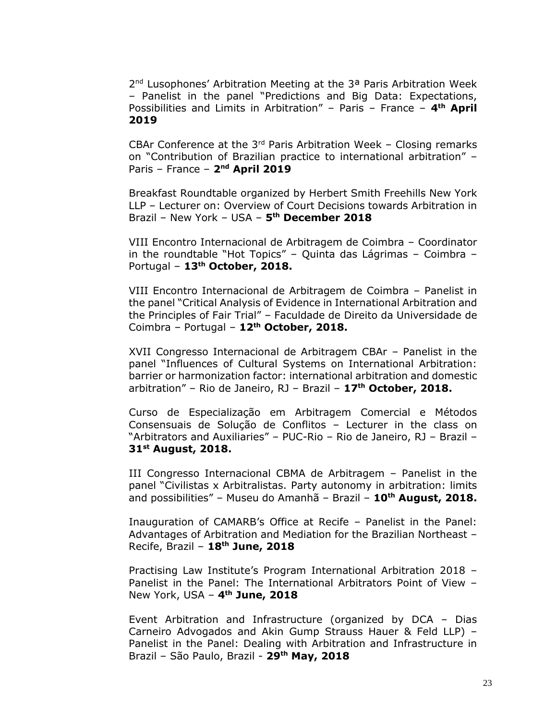2<sup>nd</sup> Lusophones' Arbitration Meeting at the 3<sup>a</sup> Paris Arbitration Week – Panelist in the panel "Predictions and Big Data: Expectations, Possibilities and Limits in Arbitration" - Paris - France - 4<sup>th</sup> April **2019**

CBAr Conference at the  $3<sup>rd</sup>$  Paris Arbitration Week – Closing remarks on "Contribution of Brazilian practice to international arbitration" – Paris – France – **2 nd April 2019**

Breakfast Roundtable organized by Herbert Smith Freehills New York LLP – Lecturer on: Overview of Court Decisions towards Arbitration in Brazil – New York – USA – **5 th December 2018**

VIII Encontro Internacional de Arbitragem de Coimbra – Coordinator in the roundtable "Hot Topics" – Quinta das Lágrimas – Coimbra – Portugal – **13th October, 2018.**

VIII Encontro Internacional de Arbitragem de Coimbra – Panelist in the panel "Critical Analysis of Evidence in International Arbitration and the Principles of Fair Trial" – Faculdade de Direito da Universidade de Coimbra – Portugal – **12th October, 2018.**

XVII Congresso Internacional de Arbitragem CBAr – Panelist in the panel "Influences of Cultural Systems on International Arbitration: barrier or harmonization factor: international arbitration and domestic arbitration" – Rio de Janeiro, RJ – Brazil – **17th October, 2018.**

Curso de Especialização em Arbitragem Comercial e Métodos Consensuais de Solução de Conflitos – Lecturer in the class on "Arbitrators and Auxiliaries" – PUC-Rio – Rio de Janeiro, RJ – Brazil – **31st August, 2018.**

III Congresso Internacional CBMA de Arbitragem – Panelist in the panel "Civilistas x Arbitralistas. Party autonomy in arbitration: limits and possibilities" – Museu do Amanhã – Brazil – **10th August, 2018.**

Inauguration of CAMARB's Office at Recife – Panelist in the Panel: Advantages of Arbitration and Mediation for the Brazilian Northeast – Recife, Brazil – **18th June, 2018**

Practising Law Institute's Program International Arbitration 2018 – Panelist in the Panel: The International Arbitrators Point of View – New York, USA – **4 th June, 2018**

Event Arbitration and Infrastructure (organized by DCA – Dias Carneiro Advogados and Akin Gump Strauss Hauer & Feld LLP) – Panelist in the Panel: Dealing with Arbitration and Infrastructure in Brazil – São Paulo, Brazil - **29th May, 2018**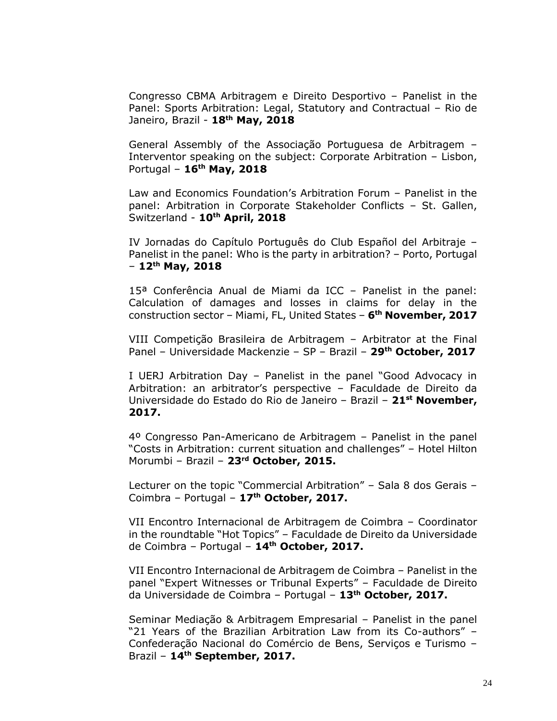Congresso CBMA Arbitragem e Direito Desportivo – Panelist in the Panel: Sports Arbitration: Legal, Statutory and Contractual – Rio de Janeiro, Brazil - **18th May, 2018**

General Assembly of the Associação Portuguesa de Arbitragem – Interventor speaking on the subject: Corporate Arbitration – Lisbon, Portugal – **16th May, 2018**

Law and Economics Foundation's Arbitration Forum – Panelist in the panel: Arbitration in Corporate Stakeholder Conflicts – St. Gallen, Switzerland - **10th April, 2018**

IV Jornadas do Capítulo Português do Club Español del Arbitraje – Panelist in the panel: Who is the party in arbitration? – Porto, Portugal – **12th May, 2018**

15ª Conferência Anual de Miami da ICC – Panelist in the panel: Calculation of damages and losses in claims for delay in the construction sector – Miami, FL, United States – **6 th November, 2017**

VIII Competição Brasileira de Arbitragem – Arbitrator at the Final Panel – Universidade Mackenzie – SP – Brazil – **29th October, 2017**

I UERJ Arbitration Day – Panelist in the panel "Good Advocacy in Arbitration: an arbitrator's perspective – Faculdade de Direito da Universidade do Estado do Rio de Janeiro – Brazil – **21st November, 2017.**

4º Congresso Pan-Americano de Arbitragem – Panelist in the panel "Costs in Arbitration: current situation and challenges" – Hotel Hilton Morumbi – Brazil – **23rd October, 2015.**

Lecturer on the topic "Commercial Arbitration" – Sala 8 dos Gerais – Coimbra – Portugal – **17th October, 2017.**

VII Encontro Internacional de Arbitragem de Coimbra – Coordinator in the roundtable "Hot Topics" – Faculdade de Direito da Universidade de Coimbra – Portugal – **14th October, 2017.**

VII Encontro Internacional de Arbitragem de Coimbra – Panelist in the panel "Expert Witnesses or Tribunal Experts" – Faculdade de Direito da Universidade de Coimbra – Portugal – **13th October, 2017.**

Seminar Mediação & Arbitragem Empresarial – Panelist in the panel "21 Years of the Brazilian Arbitration Law from its Co-authors" – Confederação Nacional do Comércio de Bens, Serviços e Turismo – Brazil – **14th September, 2017.**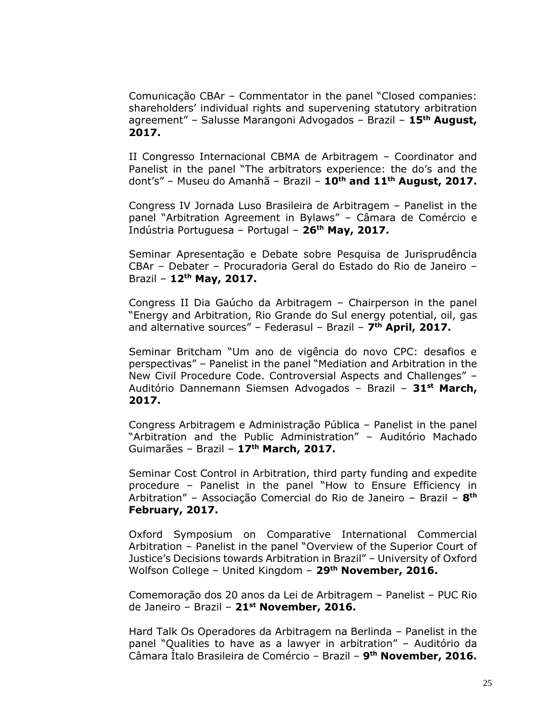Comunicação CBAr – Commentator in the panel "Closed companies: shareholders' individual rights and supervening statutory arbitration agreement" – Salusse Marangoni Advogados – Brazil – **15th August, 2017.**

II Congresso Internacional CBMA de Arbitragem – Coordinator and Panelist in the panel "The arbitrators experience: the do's and the dont's" – Museu do Amanhã – Brazil – **10th and 11th August, 2017.**

Congress IV Jornada Luso Brasileira de Arbitragem – Panelist in the panel "Arbitration Agreement in Bylaws" – Câmara de Comércio e Indústria Portuguesa – Portugal – **26th May, 2017.**

Seminar Apresentação e Debate sobre Pesquisa de Jurisprudência CBAr – Debater – Procuradoria Geral do Estado do Rio de Janeiro – Brazil – **12th May, 2017.**

Congress II Dia Gaúcho da Arbitragem – Chairperson in the panel "Energy and Arbitration, Rio Grande do Sul energy potential, oil, gas and alternative sources" – Federasul – Brazil – **7 th April, 2017.**

Seminar Britcham "Um ano de vigência do novo CPC: desafios e perspectivas" – Panelist in the panel "Mediation and Arbitration in the New Civil Procedure Code. Controversial Aspects and Challenges" – Auditório Dannemann Siemsen Advogados – Brazil – **31st March, 2017.**

Congress Arbitragem e Administração Pública – Panelist in the panel "Arbitration and the Public Administration" – Auditório Machado Guimarães – Brazil – **17th March, 2017.**

Seminar Cost Control in Arbitration, third party funding and expedite procedure – Panelist in the panel "How to Ensure Efficiency in Arbitration" – Associação Comercial do Rio de Janeiro – Brazil – **8 th February, 2017.**

Oxford Symposium on Comparative International Commercial Arbitration – Panelist in the panel "Overview of the Superior Court of Justice's Decisions towards Arbitration in Brazil" – University of Oxford Wolfson College – United Kingdom – **29th November, 2016.**

Comemoração dos 20 anos da Lei de Arbitragem – Panelist – PUC Rio de Janeiro – Brazil – **21st November, 2016.**

Hard Talk Os Operadores da Arbitragem na Berlinda – Panelist in the panel "Qualities to have as a lawyer in arbitration" – Auditório da Câmara Ítalo Brasileira de Comércio – Brazil – **9 th November, 2016.**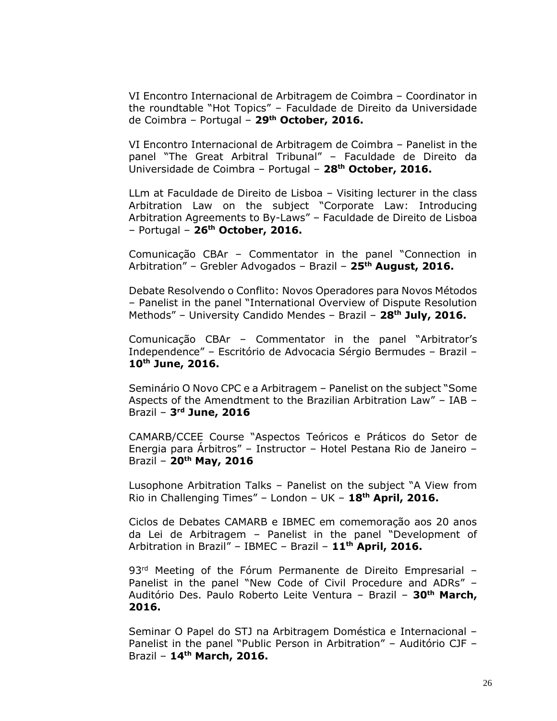VI Encontro Internacional de Arbitragem de Coimbra – Coordinator in the roundtable "Hot Topics" – Faculdade de Direito da Universidade de Coimbra – Portugal – **29th October, 2016.**

VI Encontro Internacional de Arbitragem de Coimbra – Panelist in the panel "The Great Arbitral Tribunal" – Faculdade de Direito da Universidade de Coimbra – Portugal – **28th October, 2016.**

LLm at Faculdade de Direito de Lisboa – Visiting lecturer in the class Arbitration Law on the subject "Corporate Law: Introducing Arbitration Agreements to By-Laws" – Faculdade de Direito de Lisboa – Portugal – **26th October, 2016.**

Comunicação CBAr – Commentator in the panel "Connection in Arbitration" – Grebler Advogados – Brazil – **25th August, 2016.**

Debate Resolvendo o Conflito: Novos Operadores para Novos Métodos – Panelist in the panel "International Overview of Dispute Resolution Methods" – University Candido Mendes – Brazil – **28th July, 2016.**

Comunicação CBAr – Commentator in the panel "Arbitrator's Independence" – Escritório de Advocacia Sérgio Bermudes – Brazil – **10th June, 2016.**

Seminário O Novo CPC e a Arbitragem – Panelist on the subject "Some Aspects of the Amendtment to the Brazilian Arbitration Law" – IAB – Brazil – **3 rd June, 2016**

CAMARB/CCEE Course "Aspectos Teóricos e Práticos do Setor de Energia para Árbitros" – Instructor – Hotel Pestana Rio de Janeiro – Brazil – **20th May, 2016**

Lusophone Arbitration Talks – Panelist on the subject "A View from Rio in Challenging Times" – London – UK – **18th April, 2016.**

Ciclos de Debates CAMARB e IBMEC em comemoração aos 20 anos da Lei de Arbitragem – Panelist in the panel "Development of Arbitration in Brazil" – IBMEC – Brazil – **11th April, 2016.**

93<sup>rd</sup> Meeting of the Fórum Permanente de Direito Empresarial -Panelist in the panel "New Code of Civil Procedure and ADRs" – Auditório Des. Paulo Roberto Leite Ventura – Brazil – **30th March, 2016.**

Seminar O Papel do STJ na Arbitragem Doméstica e Internacional – Panelist in the panel "Public Person in Arbitration" – Auditório CJF – Brazil – **14th March, 2016.**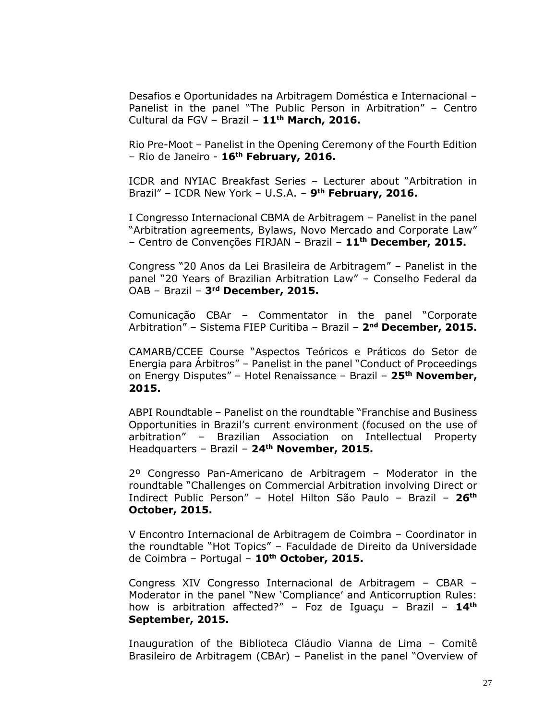Desafios e Oportunidades na Arbitragem Doméstica e Internacional – Panelist in the panel "The Public Person in Arbitration" – Centro Cultural da FGV – Brazil – **11th March, 2016.**

Rio Pre-Moot – Panelist in the Opening Ceremony of the Fourth Edition – Rio de Janeiro - **16th February, 2016.**

ICDR and NYIAC Breakfast Series – Lecturer about "Arbitration in Brazil" – ICDR New York – U.S.A. – **9 th February, 2016.**

I Congresso Internacional CBMA de Arbitragem – Panelist in the panel "Arbitration agreements, Bylaws, Novo Mercado and Corporate Law" – Centro de Convenções FIRJAN – Brazil – **11th December, 2015.**

Congress "20 Anos da Lei Brasileira de Arbitragem" – Panelist in the panel "20 Years of Brazilian Arbitration Law" – Conselho Federal da OAB – Brazil – **3 rd December, 2015.**

Comunicação CBAr – Commentator in the panel "Corporate Arbitration" – Sistema FIEP Curitiba – Brazil – **2 nd December, 2015.**

CAMARB/CCEE Course "Aspectos Teóricos e Práticos do Setor de Energia para Árbitros" – Panelist in the panel "Conduct of Proceedings on Energy Disputes" – Hotel Renaissance – Brazil – **25th November, 2015.**

ABPI Roundtable – Panelist on the roundtable "Franchise and Business Opportunities in Brazil's current environment (focused on the use of arbitration" – Brazilian Association on Intellectual Property Headquarters – Brazil – **24th November, 2015.**

2º Congresso Pan-Americano de Arbitragem – Moderator in the roundtable "Challenges on Commercial Arbitration involving Direct or Indirect Public Person" – Hotel Hilton São Paulo – Brazil – **26 th October, 2015.**

V Encontro Internacional de Arbitragem de Coimbra – Coordinator in the roundtable "Hot Topics" – Faculdade de Direito da Universidade de Coimbra – Portugal – **10th October, 2015.**

Congress XIV Congresso Internacional de Arbitragem – CBAR – Moderator in the panel "New 'Compliance' and Anticorruption Rules: how is arbitration affected?" – Foz de Iguaçu – Brazil – **14th September, 2015.**

Inauguration of the Biblioteca Cláudio Vianna de Lima – Comitê Brasileiro de Arbitragem (CBAr) – Panelist in the panel "Overview of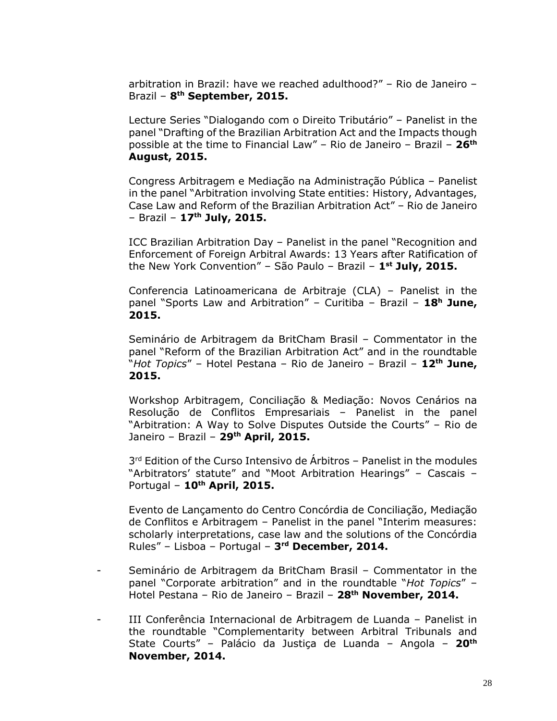arbitration in Brazil: have we reached adulthood?" – Rio de Janeiro – Brazil – **8 th September, 2015.**

Lecture Series "Dialogando com o Direito Tributário" – Panelist in the panel "Drafting of the Brazilian Arbitration Act and the Impacts though possible at the time to Financial Law" – Rio de Janeiro – Brazil – **26th August, 2015.**

Congress Arbitragem e Mediação na Administração Pública – Panelist in the panel "Arbitration involving State entities: History, Advantages, Case Law and Reform of the Brazilian Arbitration Act" – Rio de Janeiro – Brazil – **17th July, 2015.**

ICC Brazilian Arbitration Day – Panelist in the panel "Recognition and Enforcement of Foreign Arbitral Awards: 13 Years after Ratification of the New York Convention" – São Paulo – Brazil – **1 st July, 2015.**

Conferencia Latinoamericana de Arbitraje (CLA) – Panelist in the panel "Sports Law and Arbitration" – Curitiba – Brazil – **18<sup>h</sup> June, 2015.**

Seminário de Arbitragem da BritCham Brasil – Commentator in the panel "Reform of the Brazilian Arbitration Act" and in the roundtable "*Hot Topics*" – Hotel Pestana – Rio de Janeiro – Brazil – **12th June, 2015.**

Workshop Arbitragem, Conciliação & Mediação: Novos Cenários na Resolução de Conflitos Empresariais – Panelist in the panel "Arbitration: A Way to Solve Disputes Outside the Courts" – Rio de Janeiro – Brazil – **29th April, 2015.**

3 rd Edition of the Curso Intensivo de Árbitros – Panelist in the modules "Arbitrators' statute" and "Moot Arbitration Hearings" – Cascais – Portugal – **10th April, 2015.**

Evento de Lançamento do Centro Concórdia de Conciliação, Mediação de Conflitos e Arbitragem – Panelist in the panel "Interim measures: scholarly interpretations, case law and the solutions of the Concórdia Rules" – Lisboa – Portugal – **3 rd December, 2014.**

- Seminário de Arbitragem da BritCham Brasil Commentator in the panel "Corporate arbitration" and in the roundtable "*Hot Topics*" – Hotel Pestana – Rio de Janeiro – Brazil – **28th November, 2014.**
- III Conferência Internacional de Arbitragem de Luanda Panelist in the roundtable "Complementarity between Arbitral Tribunals and State Courts" – Palácio da Justiça de Luanda – Angola – **20th November, 2014.**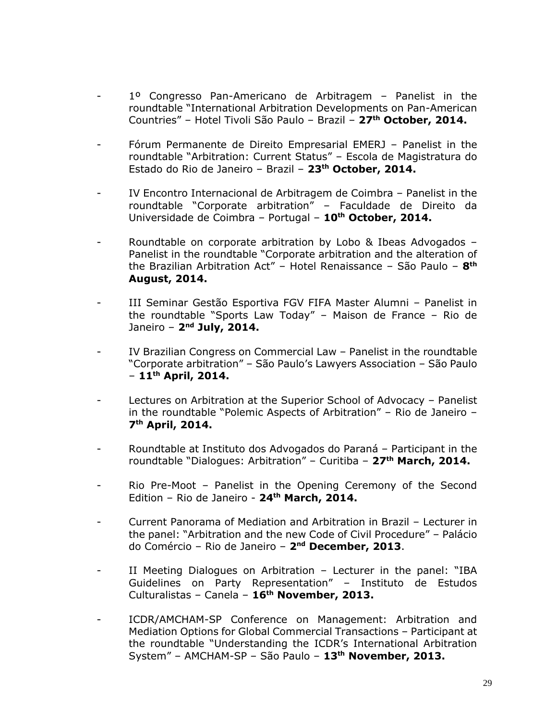- 1º Congresso Pan-Americano de Arbitragem Panelist in the roundtable "International Arbitration Developments on Pan-American Countries" – Hotel Tivoli São Paulo – Brazil – **27th October, 2014.**
- Fórum Permanente de Direito Empresarial EMERJ Panelist in the roundtable "Arbitration: Current Status" – Escola de Magistratura do Estado do Rio de Janeiro – Brazil – **23th October, 2014.**
- IV Encontro Internacional de Arbitragem de Coimbra Panelist in the roundtable "Corporate arbitration" – Faculdade de Direito da Universidade de Coimbra – Portugal – **10th October, 2014.**
- Roundtable on corporate arbitration by Lobo & Ibeas Advogados Panelist in the roundtable "Corporate arbitration and the alteration of the Brazilian Arbitration Act" – Hotel Renaissance – São Paulo – **8 th August, 2014.**
- III Seminar Gestão Esportiva FGV FIFA Master Alumni Panelist in the roundtable "Sports Law Today" – Maison de France – Rio de Janeiro – **2 nd July, 2014.**
- IV Brazilian Congress on Commercial Law Panelist in the roundtable "Corporate arbitration" – São Paulo's Lawyers Association – São Paulo – **11th April, 2014.**
- Lectures on Arbitration at the Superior School of Advocacy Panelist in the roundtable "Polemic Aspects of Arbitration" – Rio de Janeiro – **7 th April, 2014.**
- Roundtable at Instituto dos Advogados do Paraná Participant in the roundtable "Dialogues: Arbitration" – Curitiba – **27th March, 2014.**
- Rio Pre-Moot Panelist in the Opening Ceremony of the Second Edition – Rio de Janeiro - **24th March, 2014.**
- Current Panorama of Mediation and Arbitration in Brazil Lecturer in the panel: "Arbitration and the new Code of Civil Procedure" – Palácio do Comércio – Rio de Janeiro – **2 nd December, 2013**.
- II Meeting Dialogues on Arbitration Lecturer in the panel: "IBA Guidelines on Party Representation" – Instituto de Estudos Culturalistas – Canela – **16th November, 2013.**
- ICDR/AMCHAM-SP Conference on Management: Arbitration and Mediation Options for Global Commercial Transactions – Participant at the roundtable "Understanding the ICDR's International Arbitration System" – AMCHAM-SP – São Paulo – **13th November, 2013.**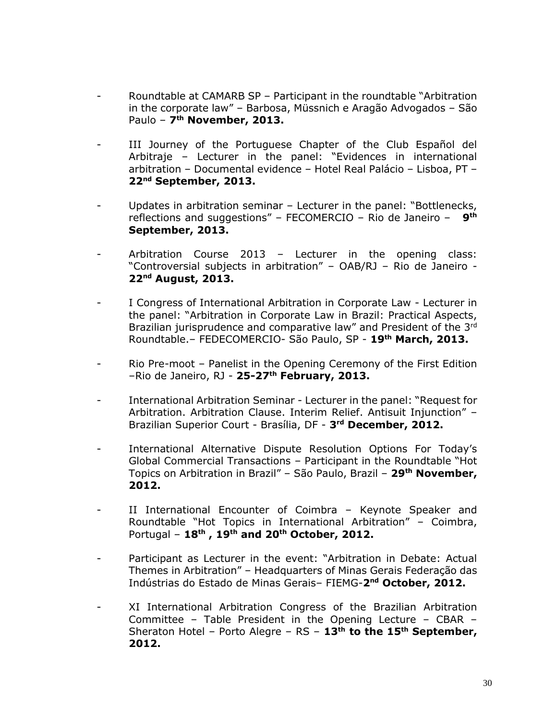- Roundtable at CAMARB SP Participant in the roundtable "Arbitration in the corporate law" – Barbosa, Müssnich e Aragão Advogados – São Paulo – **7 th November, 2013.**
- III Journey of the Portuguese Chapter of the Club Español del Arbitraje – Lecturer in the panel: "Evidences in international arbitration – Documental evidence – Hotel Real Palácio – Lisboa, PT – **22nd September, 2013.**
- Updates in arbitration seminar Lecturer in the panel: "Bottlenecks, reflections and suggestions" – FECOMERCIO – Rio de Janeiro – **9 th September, 2013.**
- Arbitration Course 2013 Lecturer in the opening class: "Controversial subjects in arbitration" – OAB/RJ – Rio de Janeiro - **22nd August, 2013.**
- I Congress of International Arbitration in Corporate Law Lecturer in the panel: "Arbitration in Corporate Law in Brazil: Practical Aspects, Brazilian jurisprudence and comparative law" and President of the 3rd Roundtable.– FEDECOMERCIO- São Paulo, SP - **19th March, 2013.**
- Rio Pre-moot Panelist in the Opening Ceremony of the First Edition –Rio de Janeiro, RJ - **25-27th February, 2013.**
- International Arbitration Seminar Lecturer in the panel: "Request for Arbitration. Arbitration Clause. Interim Relief. Antisuit Injunction" – Brazilian Superior Court - Brasília, DF - **3 rd December, 2012.**
- International Alternative Dispute Resolution Options For Today's Global Commercial Transactions – Participant in the Roundtable "Hot Topics on Arbitration in Brazil" – São Paulo, Brazil – **29th November, 2012.**
- II International Encounter of Coimbra Keynote Speaker and Roundtable "Hot Topics in International Arbitration" – Coimbra, Portugal – **18th , 19th and 20th October, 2012.**
- Participant as Lecturer in the event: "Arbitration in Debate: Actual Themes in Arbitration" – Headquarters of Minas Gerais Federação das Indústrias do Estado de Minas Gerais– FIEMG-**2 nd October, 2012.**
- XI International Arbitration Congress of the Brazilian Arbitration Committee – Table President in the Opening Lecture – CBAR – Sheraton Hotel – Porto Alegre – RS – **13th to the 15th September, 2012.**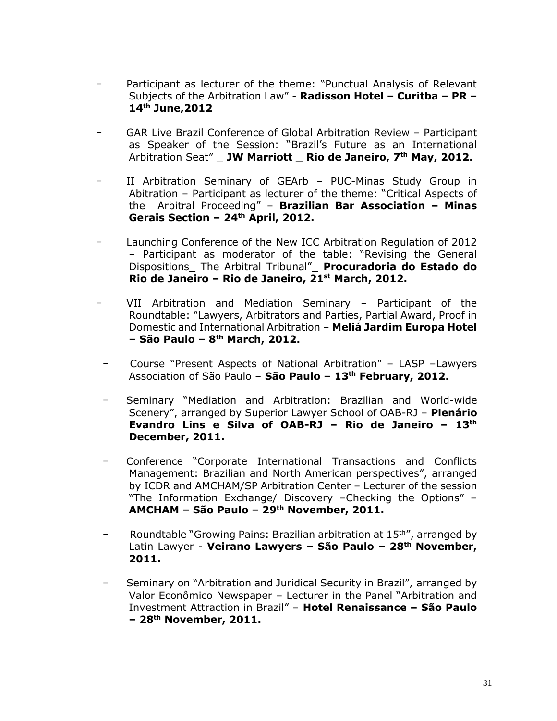- Participant as lecturer of the theme: "Punctual Analysis of Relevant Subjects of the Arbitration Law" - **Radisson Hotel – Curitba – PR – 14th June,2012**
- GAR Live Brazil Conference of Global Arbitration Review Participant as Speaker of the Session: "Brazil's Future as an International Arbitration Seat" \_ **JW Marriott \_ Rio de Janeiro, 7th May, 2012.**
- II Arbitration Seminary of GEArb PUC-Minas Study Group in Abitration – Participant as lecturer of the theme: "Critical Aspects of the Arbitral Proceeding" – **Brazilian Bar Association – Minas Gerais Section – 24th April, 2012.**
- Launching Conference of the New ICC Arbitration Regulation of 2012 – Participant as moderator of the table: "Revising the General Dispositions\_ The Arbitral Tribunal"\_ **Procuradoria do Estado do Rio de Janeiro – Rio de Janeiro, 21st March, 2012.**
- VII Arbitration and Mediation Seminary Participant of the Roundtable: "Lawyers, Arbitrators and Parties, Partial Award, Proof in Domestic and International Arbitration – **Meliá Jardim Europa Hotel – São Paulo – 8 th March, 2012.**
- Course "Present Aspects of National Arbitration" LASP –Lawyers Association of São Paulo – **São Paulo – 13th February, 2012.**
- -Seminary "Mediation and Arbitration: Brazilian and World-wide Scenery", arranged by Superior Lawyer School of OAB-RJ – **Plenário Evandro Lins e Silva of OAB-RJ – Rio de Janeiro – 13th December, 2011.**
- -Conference "Corporate International Transactions and Conflicts Management: Brazilian and North American perspectives", arranged by ICDR and AMCHAM/SP Arbitration Center – Lecturer of the session "The Information Exchange/ Discovery –Checking the Options" – **AMCHAM – São Paulo – 29th November, 2011.**
- Roundtable "Growing Pains: Brazilian arbitration at 15<sup>th"</sup>, arranged by Latin Lawyer - **Veirano Lawyers – São Paulo – 28th November, 2011.**
- Seminary on "Arbitration and Juridical Security in Brazil", arranged by Valor Econômico Newspaper – Lecturer in the Panel "Arbitration and Investment Attraction in Brazil" – **Hotel Renaissance – São Paulo – 28th November, 2011.**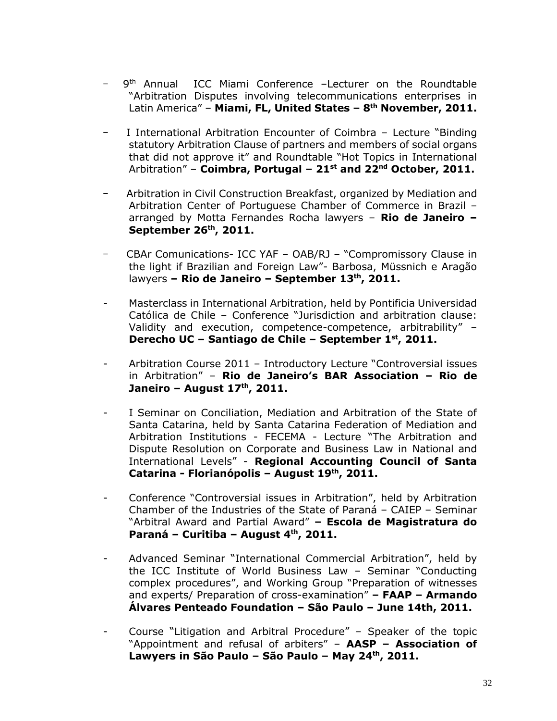- 9<sup>th</sup> Annual ICC Miami Conference –Lecturer on the Roundtable "Arbitration Disputes involving telecommunications enterprises in Latin America" – **Miami, FL, United States – 8 th November, 2011.**
- I International Arbitration Encounter of Coimbra Lecture "Binding" statutory Arbitration Clause of partners and members of social organs that did not approve it" and Roundtable "Hot Topics in International Arbitration" – **Coimbra, Portugal – 21st and 22nd October, 2011.**
- Arbitration in Civil Construction Breakfast, organized by Mediation and Arbitration Center of Portuguese Chamber of Commerce in Brazil – arranged by Motta Fernandes Rocha lawyers – **Rio de Janeiro – September 26th, 2011.**
- CBAr Comunications- ICC YAF OAB/RJ "Compromissory Clause in the light if Brazilian and Foreign Law"- Barbosa, Müssnich e Aragão lawyers **– Rio de Janeiro – September 13th, 2011.**
- Masterclass in International Arbitration, held by Pontificia Universidad Católica de Chile – Conference "Jurisdiction and arbitration clause: Validity and execution, competence-competence, arbitrability" – **Derecho UC – Santiago de Chile – September 1st, 2011.**
- Arbitration Course 2011 Introductory Lecture "Controversial issues in Arbitration" – **Rio de Janeiro's BAR Association – Rio de Janeiro – August 17th, 2011.**
- I Seminar on Conciliation, Mediation and Arbitration of the State of Santa Catarina, held by Santa Catarina Federation of Mediation and Arbitration Institutions - FECEMA - Lecture "The Arbitration and Dispute Resolution on Corporate and Business Law in National and International Levels" - **Regional Accounting Council of Santa Catarina - Florianópolis – August 19th, 2011.**
- Conference "Controversial issues in Arbitration", held by Arbitration Chamber of the Industries of the State of Paraná – CAIEP – Seminar "Arbitral Award and Partial Award" **– Escola de Magistratura do Paraná – Curitiba – August 4th, 2011.**
- Advanced Seminar "International Commercial Arbitration", held by the ICC Institute of World Business Law – Seminar "Conducting complex procedures", and Working Group "Preparation of witnesses and experts/ Preparation of cross-examination" **– FAAP – Armando Álvares Penteado Foundation – São Paulo – June 14th, 2011.**
- Course "Litigation and Arbitral Procedure" Speaker of the topic "Appointment and refusal of arbiters" – **AASP – Association of Lawyers in São Paulo – São Paulo – May 24th, 2011.**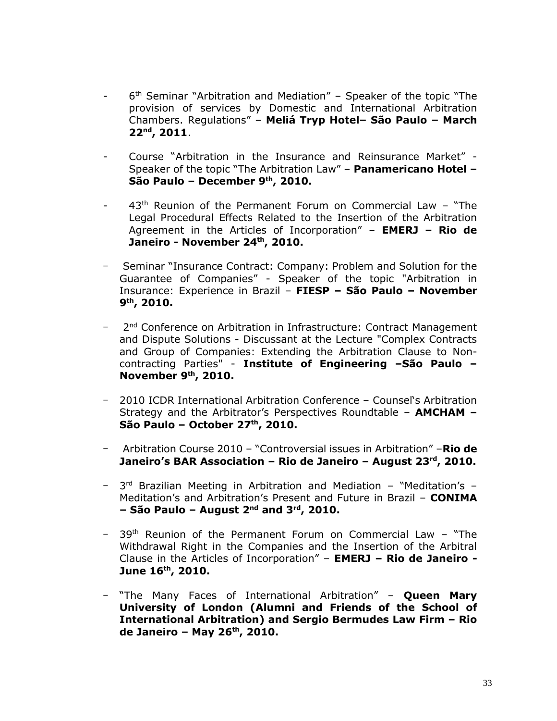- 6<sup>th</sup> Seminar "Arbitration and Mediation" Speaker of the topic "The provision of services by Domestic and International Arbitration Chambers. Regulations" – **Meliá Tryp Hotel– São Paulo – March 22nd , 2011**.
- Course "Arbitration in the Insurance and Reinsurance Market" Speaker of the topic "The Arbitration Law" – **Panamericano Hotel – São Paulo – December 9th, 2010.**
- $43<sup>th</sup>$  Reunion of the Permanent Forum on Commercial Law "The Legal Procedural Effects Related to the Insertion of the Arbitration Agreement in the Articles of Incorporation" – **EMERJ – Rio de Janeiro - November 24th, 2010.**
- Seminar "Insurance Contract: Company: Problem and Solution for the Guarantee of Companies" - Speaker of the topic "Arbitration in Insurance: Experience in Brazil – **FIESP – São Paulo – November 9 th, 2010.**
- 2<sup>nd</sup> Conference on Arbitration in Infrastructure: Contract Management and Dispute Solutions - Discussant at the Lecture "Complex Contracts and Group of Companies: Extending the Arbitration Clause to Noncontracting Parties" - **Institute of Engineering –São Paulo – November 9th, 2010.**
- 2010 ICDR International Arbitration Conference Counsel's Arbitration Strategy and the Arbitrator's Perspectives Roundtable – **AMCHAM – São Paulo – October 27th, 2010.**
- Arbitration Course 2010 "Controversial issues in Arbitration" –**Rio de Janeiro's BAR Association – Rio de Janeiro – August 23rd, 2010.**
- 3 rd Brazilian Meeting in Arbitration and Mediation "Meditation's Meditation's and Arbitration's Present and Future in Brazil – **CONIMA – São Paulo – August 2nd and 3rd, 2010.**
- 39th Reunion of the Permanent Forum on Commercial Law "The Withdrawal Right in the Companies and the Insertion of the Arbitral Clause in the Articles of Incorporation" – **EMERJ – Rio de Janeiro - June 16th, 2010.**
- "The Many Faces of International Arbitration" **Queen Mary University of London (Alumni and Friends of the School of International Arbitration) and Sergio Bermudes Law Firm – Rio de Janeiro – May 26th, 2010.**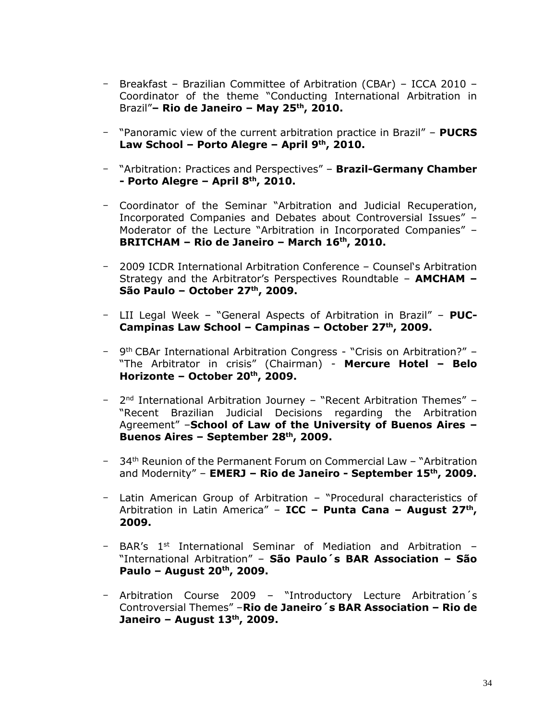- Breakfast Brazilian Committee of Arbitration (CBAr) ICCA 2010 Coordinator of the theme "Conducting International Arbitration in Brazil"**– Rio de Janeiro – May 25th, 2010.**
- "Panoramic view of the current arbitration practice in Brazil" **PUCRS Law School – Porto Alegre – April 9th, 2010.**
- "Arbitration: Practices and Perspectives" **Brazil-Germany Chamber - Porto Alegre – April 8th, 2010.**
- Coordinator of the Seminar "Arbitration and Judicial Recuperation, Incorporated Companies and Debates about Controversial Issues" – Moderator of the Lecture "Arbitration in Incorporated Companies" – **BRITCHAM – Rio de Janeiro – March 16th, 2010.**
- 2009 ICDR International Arbitration Conference Counsel's Arbitration Strategy and the Arbitrator's Perspectives Roundtable – **AMCHAM – São Paulo – October 27th , 2009.**
- LII Legal Week "General Aspects of Arbitration in Brazil" **PUC-Campinas Law School – Campinas – October 27th, 2009.**
- 9<sup>th</sup> CBAr International Arbitration Congress "Crisis on Arbitration?" -"The Arbitrator in crisis" (Chairman) - **Mercure Hotel – Belo Horizonte – October 20th, 2009.**
- 2<sup>nd</sup> International Arbitration Journey "Recent Arbitration Themes" -"Recent Brazilian Judicial Decisions regarding the Arbitration Agreement" –**School of Law of the University of Buenos Aires – Buenos Aires – September 28th, 2009.**
- 34th Reunion of the Permanent Forum on Commercial Law "Arbitration and Modernity" – **EMERJ – Rio de Janeiro - September 15th, 2009.**
- Latin American Group of Arbitration "Procedural characteristics of Arbitration in Latin America" – **ICC – Punta Cana – August 27th , 2009.**
- BAR's  $1^{st}$  International Seminar of Mediation and Arbitration -"International Arbitration" – **São Paulo´s BAR Association – São Paulo – August 20th, 2009.**
- Arbitration Course 2009 "Introductory Lecture Arbitration´s Controversial Themes" –**Rio de Janeiro´s BAR Association – Rio de Janeiro – August 13th, 2009.**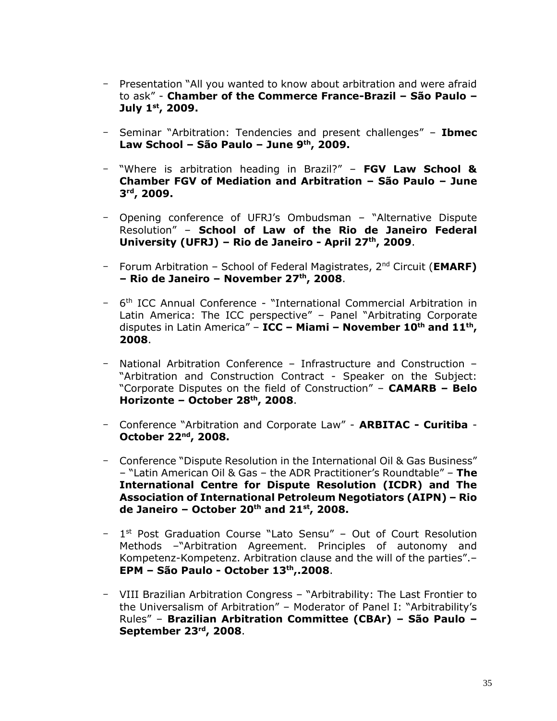- Presentation "All you wanted to know about arbitration and were afraid to ask" - **Chamber of the Commerce France-Brazil – São Paulo – July 1st, 2009.**
- Seminar "Arbitration: Tendencies and present challenges" **Ibmec Law School – São Paulo – June 9th, 2009.**
- "Where is arbitration heading in Brazil?" **FGV Law School & Chamber FGV of Mediation and Arbitration – São Paulo – June 3 rd, 2009.**
- Opening conference of UFRJ's Ombudsman "Alternative Dispute Resolution" – **School of Law of the Rio de Janeiro Federal University (UFRJ) – Rio de Janeiro - April 27th, 2009**.
- Forum Arbitration School of Federal Magistrates, 2nd Circuit (**EMARF) – Rio de Janeiro – November 27th, 2008**.
- 6<sup>th</sup> ICC Annual Conference "International Commercial Arbitration in Latin America: The ICC perspective" – Panel "Arbitrating Corporate disputes in Latin America" – **ICC – Miami – November 10th and 11th , 2008**.
- National Arbitration Conference Infrastructure and Construction "Arbitration and Construction Contract - Speaker on the Subject: "Corporate Disputes on the field of Construction" – **CAMARB – Belo Horizonte – October 28th, 2008**.
- Conference "Arbitration and Corporate Law" **ARBITAC - Curitiba October 22nd, 2008.**
- Conference "Dispute Resolution in the International Oil & Gas Business" – "Latin American Oil & Gas – the ADR Practitioner's Roundtable" – **The International Centre for Dispute Resolution (ICDR) and The Association of International Petroleum Negotiators (AIPN) – Rio de Janeiro – October 20th and 21st, 2008.**
- 1<sup>st</sup> Post Graduation Course "Lato Sensu" Out of Court Resolution Methods –"Arbitration Agreement. Principles of autonomy and Kompetenz-Kompetenz. Arbitration clause and the will of the parties".– **EPM – São Paulo - October 13th,.2008**.
- VIII Brazilian Arbitration Congress "Arbitrability: The Last Frontier to the Universalism of Arbitration" – Moderator of Panel I: "Arbitrability's Rules" – **Brazilian Arbitration Committee (CBAr) – São Paulo – September 23rd, 2008**.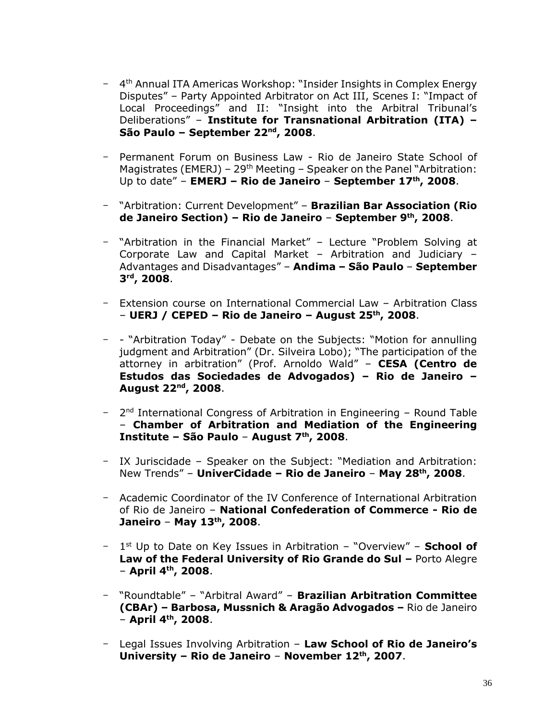- 4<sup>th</sup> Annual ITA Americas Workshop: "Insider Insights in Complex Energy Disputes" – Party Appointed Arbitrator on Act III, Scenes I: "Impact of Local Proceedings" and II: "Insight into the Arbitral Tribunal's Deliberations" – **Institute for Transnational Arbitration (ITA) – São Paulo – September 22nd, 2008**.
- Permanent Forum on Business Law Rio de Janeiro State School of Magistrates (EMERJ) –  $29<sup>th</sup>$  Meeting – Speaker on the Panel "Arbitration: Up to date" – **EMERJ – Rio de Janeiro** – **September 17th, 2008**.
- "Arbitration: Current Development" **Brazilian Bar Association (Rio de Janeiro Section) – Rio de Janeiro** – **September 9th, 2008**.
- "Arbitration in the Financial Market" Lecture "Problem Solving at Corporate Law and Capital Market – Arbitration and Judiciary – Advantages and Disadvantages" – **Andima – São Paulo** – **September 3 rd, 2008**.
- Extension course on International Commercial Law Arbitration Class – **UERJ / CEPED – Rio de Janeiro – August 25th, 2008**.
- - "Arbitration Today" Debate on the Subjects: "Motion for annulling judgment and Arbitration" (Dr. Silveira Lobo); "The participation of the attorney in arbitration" (Prof. Arnoldo Wald" – **CESA (Centro de Estudos das Sociedades de Advogados) – Rio de Janeiro – August 22nd, 2008**.
- 2<sup>nd</sup> International Congress of Arbitration in Engineering Round Table – **Chamber of Arbitration and Mediation of the Engineering Institute – São Paulo** – **August 7th, 2008**.
- IX Juriscidade Speaker on the Subject: "Mediation and Arbitration: New Trends" – **UniverCidade – Rio de Janeiro** – **May 28th, 2008**.
- Academic Coordinator of the IV Conference of International Arbitration of Rio de Janeiro – **National Confederation of Commerce - Rio de Janeiro** – **May 13th, 2008**.
- 1 st Up to Date on Key Issues in Arbitration "Overview" **School of Law of the Federal University of Rio Grande do Sul - Porto Alegre** – **April 4th, 2008**.
- "Roundtable" "Arbitral Award" **Brazilian Arbitration Committee (CBAr) – Barbosa, Mussnich & Aragão Advogados –** Rio de Janeiro – **April 4th, 2008**.
- Legal Issues Involving Arbitration **Law School of Rio de Janeiro's University – Rio de Janeiro** – **November 12th, 2007**.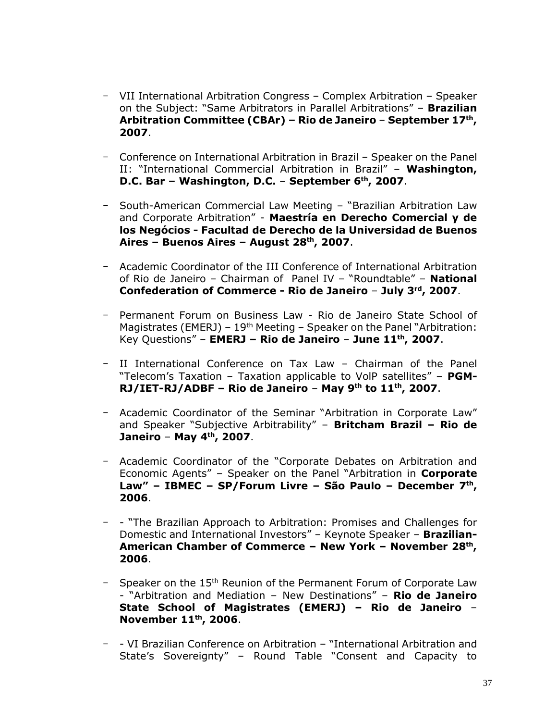- VII International Arbitration Congress Complex Arbitration Speaker on the Subject: "Same Arbitrators in Parallel Arbitrations" – **Brazilian Arbitration Committee (CBAr) – Rio de Janeiro** – **September 17th , 2007**.
- Conference on International Arbitration in Brazil Speaker on the Panel II: "International Commercial Arbitration in Brazil" – **Washington, D.C. Bar – Washington, D.C.** – **September 6th, 2007**.
- South-American Commercial Law Meeting "Brazilian Arbitration Law and Corporate Arbitration" - **Maestría en Derecho Comercial y de los Negócios - Facultad de Derecho de la Universidad de Buenos Aires – Buenos Aires – August 28th, 2007**.
- Academic Coordinator of the III Conference of International Arbitration of Rio de Janeiro – Chairman of Panel IV – "Roundtable" – **National Confederation of Commerce - Rio de Janeiro** – **July 3rd, 2007**.
- Permanent Forum on Business Law Rio de Janeiro State School of Magistrates (EMERJ) –  $19<sup>th</sup>$  Meeting – Speaker on the Panel "Arbitration: Key Questions" – **EMERJ – Rio de Janeiro** – **June 11th, 2007**.
- II International Conference on Tax Law Chairman of the Panel "Telecom's Taxation – Taxation applicable to VolP satellites" – **PGM-RJ/IET-RJ/ADBF – Rio de Janeiro** – **May 9th to 11th, 2007**.
- Academic Coordinator of the Seminar "Arbitration in Corporate Law" and Speaker "Subjective Arbitrability" – **Britcham Brazil – Rio de Janeiro** – **May 4th, 2007**.
- Academic Coordinator of the "Corporate Debates on Arbitration and Economic Agents" – Speaker on the Panel "Arbitration in **Corporate Law" – IBMEC – SP/Forum Livre – São Paulo – December 7th , 2006**.
- - "The Brazilian Approach to Arbitration: Promises and Challenges for Domestic and International Investors" – Keynote Speaker – **Brazilian-American Chamber of Commerce – New York – November 28th , 2006**.
- Speaker on the 15<sup>th</sup> Reunion of the Permanent Forum of Corporate Law - "Arbitration and Mediation – New Destinations" – **Rio de Janeiro State School of Magistrates (EMERJ) – Rio de Janeiro** – **November 11th, 2006**.
- - VI Brazilian Conference on Arbitration "International Arbitration and State's Sovereignty" – Round Table "Consent and Capacity to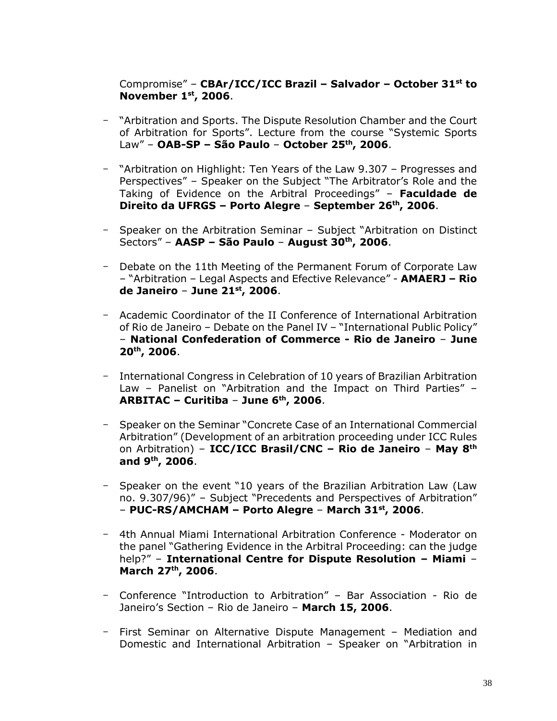## Compromise" – **CBAr/ICC/ICC Brazil – Salvador – October 31st to November 1st, 2006**.

- "Arbitration and Sports. The Dispute Resolution Chamber and the Court of Arbitration for Sports". Lecture from the course "Systemic Sports Law" – **OAB-SP – São Paulo** – **October 25th, 2006**.
- "Arbitration on Highlight: Ten Years of the Law 9.307 Progresses and Perspectives" – Speaker on the Subject "The Arbitrator's Role and the Taking of Evidence on the Arbitral Proceedings" – **Faculdade de Direito da UFRGS – Porto Alegre** – **September 26th, 2006**.
- Speaker on the Arbitration Seminar Subject "Arbitration on Distinct Sectors" – **AASP – São Paulo** – **August 30th, 2006**.
- Debate on the 11th Meeting of the Permanent Forum of Corporate Law – "Arbitration – Legal Aspects and Efective Relevance" - **AMAERJ – Rio de Janeiro** – **June 21st, 2006**.
- Academic Coordinator of the II Conference of International Arbitration of Rio de Janeiro – Debate on the Panel IV – "International Public Policy" – **National Confederation of Commerce - Rio de Janeiro** – **June 20th, 2006**.
- International Congress in Celebration of 10 years of Brazilian Arbitration Law – Panelist on "Arbitration and the Impact on Third Parties" – **ARBITAC – Curitiba** – **June 6th, 2006**.
- Speaker on the Seminar "Concrete Case of an International Commercial Arbitration" (Development of an arbitration proceeding under ICC Rules on Arbitration) – **ICC/ICC Brasil/CNC – Rio de Janeiro** – **May 8th and 9th, 2006**.
- Speaker on the event "10 years of the Brazilian Arbitration Law (Law no. 9.307/96)" – Subject "Precedents and Perspectives of Arbitration" – **PUC-RS/AMCHAM – Porto Alegre** – **March 31st, 2006**.
- 4th Annual Miami International Arbitration Conference Moderator on the panel "Gathering Evidence in the Arbitral Proceeding: can the judge help?" – **International Centre for Dispute Resolution – Miami** – **March 27th, 2006**.
- Conference "Introduction to Arbitration" Bar Association Rio de Janeiro's Section – Rio de Janeiro – **March 15, 2006**.
- First Seminar on Alternative Dispute Management Mediation and Domestic and International Arbitration – Speaker on "Arbitration in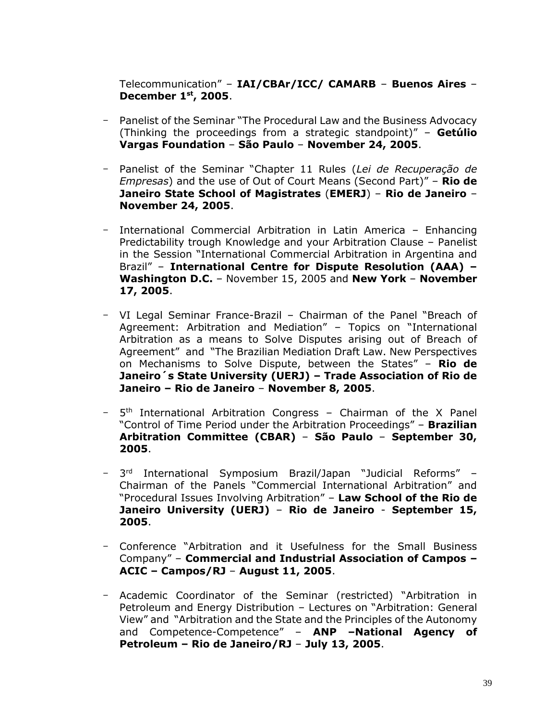Telecommunication" – **IAI/CBAr/ICC/ CAMARB** – **Buenos Aires** – **December 1st, 2005**.

- Panelist of the Seminar "The Procedural Law and the Business Advocacy (Thinking the proceedings from a strategic standpoint)" – **Getúlio Vargas Foundation** – **São Paulo** – **November 24, 2005**.
- Panelist of the Seminar "Chapter 11 Rules (*Lei de Recuperação de Empresas*) and the use of Out of Court Means (Second Part)" – **Rio de Janeiro State School of Magistrates** (**EMERJ**) – **Rio de Janeiro** – **November 24, 2005**.
- International Commercial Arbitration in Latin America Enhancing Predictability trough Knowledge and your Arbitration Clause – Panelist in the Session "International Commercial Arbitration in Argentina and Brazil" – **International Centre for Dispute Resolution (AAA) – Washington D.C.** – November 15, 2005 and **New York** – **November 17, 2005**.
- VI Legal Seminar France-Brazil Chairman of the Panel "Breach of Agreement: Arbitration and Mediation" – Topics on "International Arbitration as a means to Solve Disputes arising out of Breach of Agreement" and "The Brazilian Mediation Draft Law. New Perspectives on Mechanisms to Solve Dispute, between the States" – **Rio de Janeiro´s State University (UERJ) – Trade Association of Rio de Janeiro – Rio de Janeiro** – **November 8, 2005**.
- 5<sup>th</sup> International Arbitration Congress Chairman of the X Panel "Control of Time Period under the Arbitration Proceedings" – **Brazilian Arbitration Committee (CBAR)** – **São Paulo** – **September 30, 2005**.
- 3 rd International Symposium Brazil/Japan "Judicial Reforms" Chairman of the Panels "Commercial International Arbitration" and "Procedural Issues Involving Arbitration" – **Law School of the Rio de Janeiro University (UERJ)** – **Rio de Janeiro** - **September 15, 2005**.
- Conference "Arbitration and it Usefulness for the Small Business Company" – **Commercial and Industrial Association of Campos – ACIC – Campos/RJ** – **August 11, 2005**.
- Academic Coordinator of the Seminar (restricted) "Arbitration in Petroleum and Energy Distribution – Lectures on "Arbitration: General View" and "Arbitration and the State and the Principles of the Autonomy and Competence-Competence" – **ANP –National Agency of Petroleum – Rio de Janeiro/RJ** – **July 13, 2005**.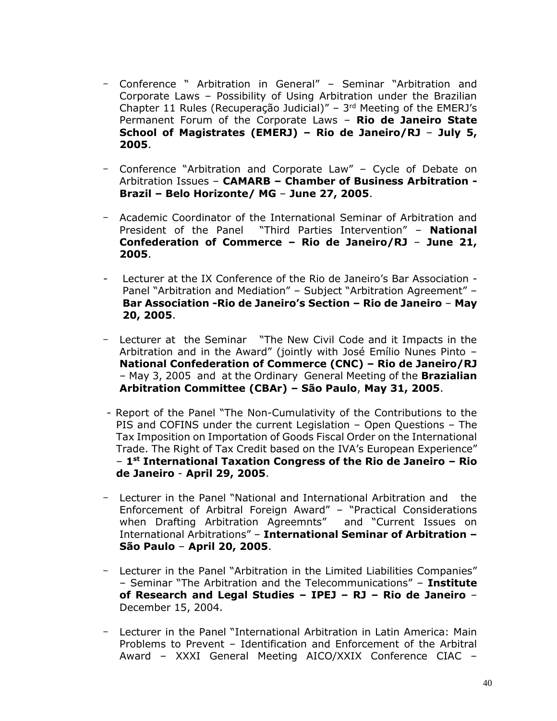- Conference " Arbitration in General" Seminar "Arbitration and Corporate Laws – Possibility of Using Arbitration under the Brazilian Chapter 11 Rules (Recuperação Judicial)" –  $3<sup>rd</sup>$  Meeting of the EMERJ's Permanent Forum of the Corporate Laws – **Rio de Janeiro State School of Magistrates (EMERJ) – Rio de Janeiro/RJ** – **July 5, 2005**.
- Conference "Arbitration and Corporate Law" Cycle of Debate on Arbitration Issues – **CAMARB – Chamber of Business Arbitration - Brazil – Belo Horizonte/ MG** – **June 27, 2005**.
- Academic Coordinator of the International Seminar of Arbitration and President of the Panel "Third Parties Intervention" – **National Confederation of Commerce – Rio de Janeiro/RJ** – **June 21, 2005**.
- Lecturer at the IX Conference of the Rio de Janeiro's Bar Association Panel "Arbitration and Mediation" – Subject "Arbitration Agreement" – **Bar Association -Rio de Janeiro's Section – Rio de Janeiro** – **May 20, 2005**.
- Lecturer at the Seminar "The New Civil Code and it Impacts in the Arbitration and in the Award" (jointly with José Emílio Nunes Pinto – **National Confederation of Commerce (CNC) – Rio de Janeiro/RJ** – May 3, 2005 and at the Ordinary General Meeting of the **Brazialian Arbitration Committee (CBAr) – São Paulo**, **May 31, 2005**.
- Report of the Panel "The Non-Cumulativity of the Contributions to the PIS and COFINS under the current Legislation – Open Questions – The Tax Imposition on Importation of Goods Fiscal Order on the International Trade. The Right of Tax Credit based on the IVA's European Experience" – **1 st International Taxation Congress of the Rio de Janeiro – Rio de Janeiro** - **April 29, 2005**.
- Lecturer in the Panel "National and International Arbitration and the Enforcement of Arbitral Foreign Award" – "Practical Considerations when Drafting Arbitration Agreemnts" and "Current Issues on International Arbitrations" – **International Seminar of Arbitration – São Paulo** – **April 20, 2005**.
- Lecturer in the Panel "Arbitration in the Limited Liabilities Companies" – Seminar "The Arbitration and the Telecommunications" – **Institute of Research and Legal Studies – IPEJ – RJ – Rio de Janeiro** – December 15, 2004.
- Lecturer in the Panel "International Arbitration in Latin America: Main Problems to Prevent – Identification and Enforcement of the Arbitral Award – XXXI General Meeting AICO/XXIX Conference CIAC –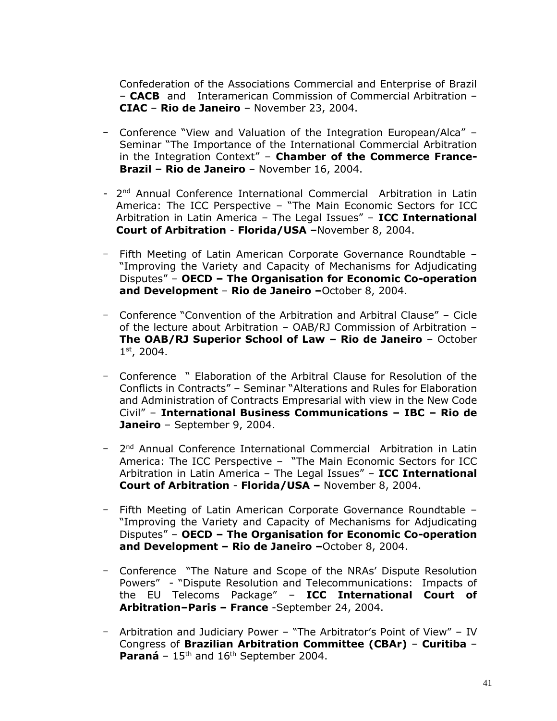Confederation of the Associations Commercial and Enterprise of Brazil – **CACB** and Interamerican Commission of Commercial Arbitration – **CIAC** – **Rio de Janeiro** – November 23, 2004.

- Conference "View and Valuation of the Integration European/Alca" Seminar "The Importance of the International Commercial Arbitration in the Integration Context" – **Chamber of the Commerce France-Brazil – Rio de Janeiro** – November 16, 2004.
- 2<sup>nd</sup> Annual Conference International Commercial Arbitration in Latin America: The ICC Perspective – "The Main Economic Sectors for ICC Arbitration in Latin America – The Legal Issues" – **ICC International Court of Arbitration** - **Florida/USA –**November 8, 2004.
- Fifth Meeting of Latin American Corporate Governance Roundtable "Improving the Variety and Capacity of Mechanisms for Adjudicating Disputes" – **OECD – The Organisation for Economic Co-operation and Development** – **Rio de Janeiro –**October 8, 2004.
- Conference "Convention of the Arbitration and Arbitral Clause" Cicle of the lecture about Arbitration – OAB/RJ Commission of Arbitration – **The OAB/RJ Superior School of Law – Rio de Janeiro** – October 1 st, 2004.
- Conference " Elaboration of the Arbitral Clause for Resolution of the Conflicts in Contracts" – Seminar "Alterations and Rules for Elaboration and Administration of Contracts Empresarial with view in the New Code Civil" – **International Business Communications – IBC – Rio de Janeiro** – September 9, 2004.
- 2<sup>nd</sup> Annual Conference International Commercial Arbitration in Latin America: The ICC Perspective – "The Main Economic Sectors for ICC Arbitration in Latin America – The Legal Issues" – **ICC International Court of Arbitration** - **Florida/USA –** November 8, 2004.
- Fifth Meeting of Latin American Corporate Governance Roundtable "Improving the Variety and Capacity of Mechanisms for Adjudicating Disputes" – **OECD – The Organisation for Economic Co-operation and Development – Rio de Janeiro –**October 8, 2004.
- Conference "The Nature and Scope of the NRAs' Dispute Resolution Powers" - "Dispute Resolution and Telecommunications: Impacts of the EU Telecoms Package" – **ICC International Court of Arbitration–Paris – France** -September 24, 2004.
- Arbitration and Judiciary Power "The Arbitrator's Point of View" IV Congress of **Brazilian Arbitration Committee (CBAr)** – **Curitiba** – **Paraná** – 15<sup>th</sup> and 16<sup>th</sup> September 2004.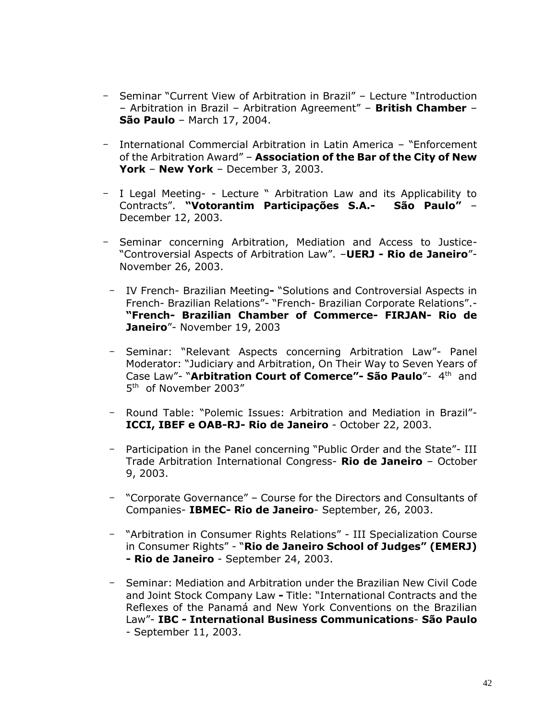- Seminar "Current View of Arbitration in Brazil" Lecture "Introduction – Arbitration in Brazil – Arbitration Agreement" – **British Chamber** – **São Paulo** – March 17, 2004.
- International Commercial Arbitration in Latin America "Enforcement of the Arbitration Award" – **Association of the Bar of the City of New York** – **New York** – December 3, 2003.
- I Legal Meeting- Lecture " Arbitration Law and its Applicability to Contracts". **"Votorantim Participações S.A.- São Paulo"** – December 12, 2003.
- Seminar concerning Arbitration, Mediation and Access to Justice- "Controversial Aspects of Arbitration Law". –**UERJ - Rio de Janeiro**"- November 26, 2003.
	- IV French- Brazilian Meeting**-** "Solutions and Controversial Aspects in French- Brazilian Relations"- "French- Brazilian Corporate Relations".- **"French- Brazilian Chamber of Commerce- FIRJAN- Rio de Janeiro**"- November 19, 2003
	- Seminar: "Relevant Aspects concerning Arbitration Law"- Panel Moderator: "Judiciary and Arbitration, On Their Way to Seven Years of Case Law"- "Arbitration Court of Comerce" - São Paulo"- 4<sup>th</sup> and 5 th of November 2003"
	- Round Table: "Polemic Issues: Arbitration and Mediation in Brazil"- **ICCI, IBEF e OAB-RJ- Rio de Janeiro** - October 22, 2003.
	- Participation in the Panel concerning "Public Order and the State"- III Trade Arbitration International Congress- **Rio de Janeiro** – October 9, 2003.
	- "Corporate Governance" Course for the Directors and Consultants of Companies- **IBMEC- Rio de Janeiro**- September, 26, 2003.
	- "Arbitration in Consumer Rights Relations" III Specialization Course in Consumer Rights" - "**Rio de Janeiro School of Judges" (EMERJ) - Rio de Janeiro** - September 24, 2003.
	- Seminar: Mediation and Arbitration under the Brazilian New Civil Code and Joint Stock Company Law **-** Title: "International Contracts and the Reflexes of the Panamá and New York Conventions on the Brazilian Law"- **IBC - International Business Communications**- **São Paulo** - September 11, 2003.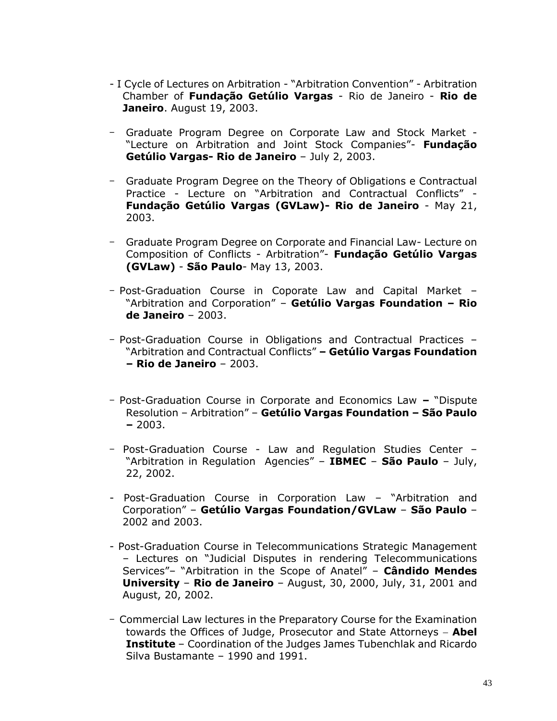- I Cycle of Lectures on Arbitration "Arbitration Convention" Arbitration Chamber of **Fundação Getúlio Vargas** - Rio de Janeiro - **Rio de Janeiro**. August 19, 2003.
- Graduate Program Degree on Corporate Law and Stock Market "Lecture on Arbitration and Joint Stock Companies"- **Fundação Getúlio Vargas- Rio de Janeiro** – July 2, 2003.
- Graduate Program Degree on the Theory of Obligations e Contractual Practice - Lecture on "Arbitration and Contractual Conflicts" - **Fundação Getúlio Vargas (GVLaw)- Rio de Janeiro** - May 21, 2003.
- Graduate Program Degree on Corporate and Financial Law- Lecture on Composition of Conflicts - Arbitration"- **Fundação Getúlio Vargas (GVLaw)** - **São Paulo**- May 13, 2003.
- Post-Graduation Course in Coporate Law and Capital Market "Arbitration and Corporation" – **Getúlio Vargas Foundation – Rio de Janeiro** – 2003.
- Post-Graduation Course in Obligations and Contractual Practices "Arbitration and Contractual Conflicts" **– Getúlio Vargas Foundation – Rio de Janeiro** – 2003.
- Post-Graduation Course in Corporate and Economics Law **–** "Dispute Resolution – Arbitration" – **Getúlio Vargas Foundation – São Paulo –** 2003.
- Post-Graduation Course Law and Regulation Studies Center "Arbitration in Regulation Agencies" – **IBMEC** – **São Paulo** – July, 22, 2002.
- Post-Graduation Course in Corporation Law "Arbitration and Corporation" – **Getúlio Vargas Foundation/GVLaw** – **São Paulo** – 2002 and 2003.
- Post-Graduation Course in Telecommunications Strategic Management – Lectures on "Judicial Disputes in rendering Telecommunications Services"– "Arbitration in the Scope of Anatel" – **Cândido Mendes University** – **Rio de Janeiro** – August, 30, 2000, July, 31, 2001 and August, 20, 2002.
- Commercial Law lectures in the Preparatory Course for the Examination towards the Offices of Judge, Prosecutor and State Attorneys − **Abel Institute** – Coordination of the Judges James Tubenchlak and Ricardo Silva Bustamante – 1990 and 1991.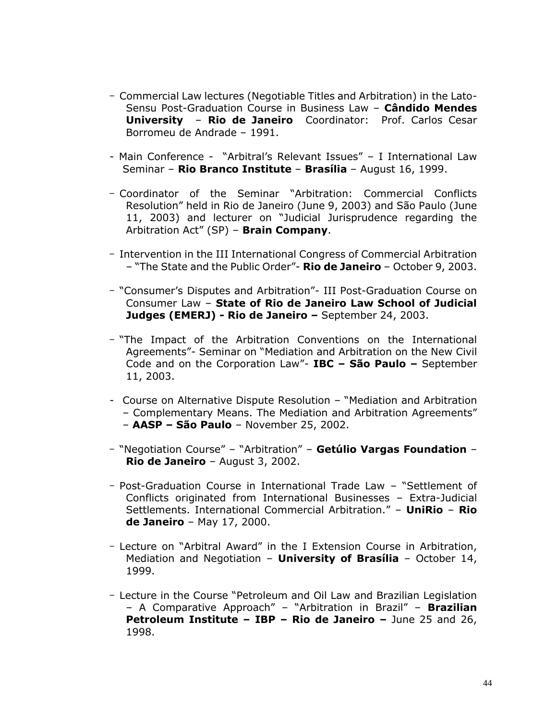- Commercial Law lectures (Negotiable Titles and Arbitration) in the Lato-Sensu Post-Graduation Course in Business Law – **Cândido Mendes University** – **Rio de Janeiro** Coordinator: Prof. Carlos Cesar Borromeu de Andrade – 1991.
- Main Conference "Arbitral's Relevant Issues" I International Law Seminar – **Rio Branco Institute** – **Brasília** – August 16, 1999.
- Coordinator of the Seminar "Arbitration: Commercial Conflicts Resolution" held in Rio de Janeiro (June 9, 2003) and São Paulo (June 11, 2003) and lecturer on "Judicial Jurisprudence regarding the Arbitration Act" (SP) – **Brain Company**.
- Intervention in the III International Congress of Commercial Arbitration – "The State and the Public Order"- **Rio de Janeiro** – October 9, 2003.
- "Consumer's Disputes and Arbitration"- III Post-Graduation Course on Consumer Law – **State of Rio de Janeiro Law School of Judicial Judges (EMERJ) - Rio de Janeiro –** September 24, 2003.
- "The Impact of the Arbitration Conventions on the International Agreements"- Seminar on "Mediation and Arbitration on the New Civil Code and on the Corporation Law"- **IBC – São Paulo –** September 11, 2003.
- Course on Alternative Dispute Resolution "Mediation and Arbitration – Complementary Means. The Mediation and Arbitration Agreements" – **AASP – São Paulo** – November 25, 2002.
- "Negotiation Course" "Arbitration" **Getúlio Vargas Foundation Rio de Janeiro** – August 3, 2002.
- Post-Graduation Course in International Trade Law "Settlement of Conflicts originated from International Businesses – Extra-Judicial Settlements. International Commercial Arbitration." – **UniRio** – **Rio de Janeiro** – May 17, 2000.
- Lecture on "Arbitral Award" in the I Extension Course in Arbitration, Mediation and Negotiation – **University of Brasília** – October 14, 1999.
- Lecture in the Course "Petroleum and Oil Law and Brazilian Legislation – A Comparative Approach" – "Arbitration in Brazil" – **Brazilian Petroleum Institute – IBP – Rio de Janeiro –** June 25 and 26, 1998.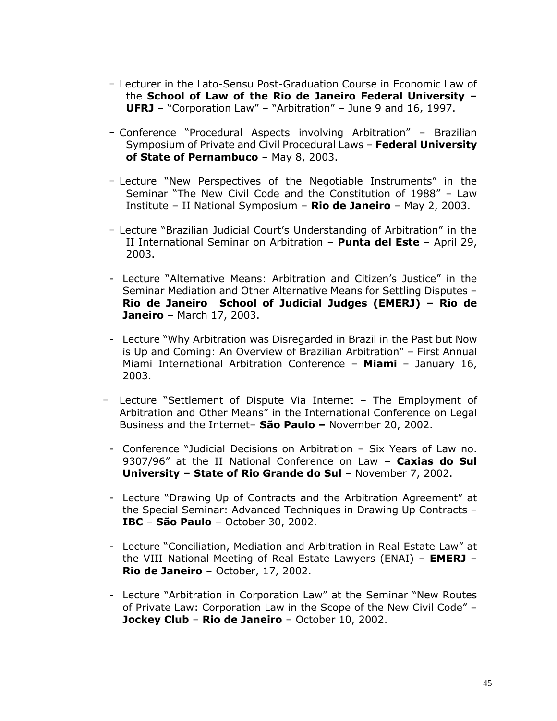- Lecturer in the Lato-Sensu Post-Graduation Course in Economic Law of the **School of Law of the Rio de Janeiro Federal University – UFRJ** – "Corporation Law" – "Arbitration" – June 9 and 16, 1997.
- Conference "Procedural Aspects involving Arbitration" Brazilian Symposium of Private and Civil Procedural Laws – **Federal University of State of Pernambuco** – May 8, 2003.
- Lecture "New Perspectives of the Negotiable Instruments" in the Seminar "The New Civil Code and the Constitution of 1988" – Law Institute – II National Symposium – **Rio de Janeiro** – May 2, 2003.
- Lecture "Brazilian Judicial Court's Understanding of Arbitration" in the II International Seminar on Arbitration – **Punta del Este** – April 29, 2003.
- Lecture "Alternative Means: Arbitration and Citizen's Justice" in the Seminar Mediation and Other Alternative Means for Settling Disputes – **Rio de Janeiro School of Judicial Judges (EMERJ) – Rio de Janeiro** – March 17, 2003.
- Lecture "Why Arbitration was Disregarded in Brazil in the Past but Now is Up and Coming: An Overview of Brazilian Arbitration" – First Annual Miami International Arbitration Conference – **Miami** – January 16, 2003.
- Lecture "Settlement of Dispute Via Internet The Employment of Arbitration and Other Means" in the International Conference on Legal Business and the Internet– **São Paulo –** November 20, 2002.
- Conference "Judicial Decisions on Arbitration Six Years of Law no. 9307/96" at the II National Conference on Law – **Caxias do Sul University – State of Rio Grande do Sul** – November 7, 2002.
- Lecture "Drawing Up of Contracts and the Arbitration Agreement" at the Special Seminar: Advanced Techniques in Drawing Up Contracts – **IBC** – **São Paulo** – October 30, 2002.
- Lecture "Conciliation, Mediation and Arbitration in Real Estate Law" at the VIII National Meeting of Real Estate Lawyers (ENAI) – **EMERJ** – **Rio de Janeiro** – October, 17, 2002.
- Lecture "Arbitration in Corporation Law" at the Seminar "New Routes of Private Law: Corporation Law in the Scope of the New Civil Code" – **Jockey Club** – **Rio de Janeiro** – October 10, 2002.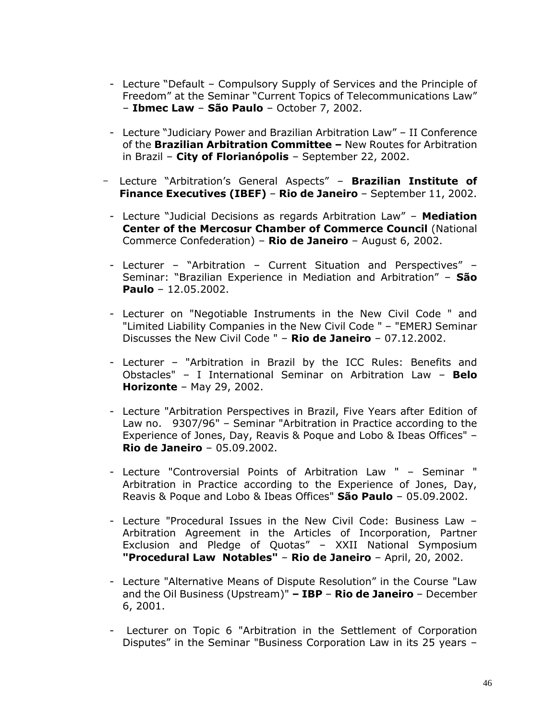- Lecture "Default Compulsory Supply of Services and the Principle of Freedom" at the Seminar "Current Topics of Telecommunications Law" – **Ibmec Law** – **São Paulo** – October 7, 2002.
- Lecture "Judiciary Power and Brazilian Arbitration Law" II Conference of the **Brazilian Arbitration Committee –** New Routes for Arbitration in Brazil – **City of Florianópolis** – September 22, 2002.
- Lecture "Arbitration's General Aspects" **Brazilian Institute of Finance Executives (IBEF)** – **Rio de Janeiro** – September 11, 2002.
	- Lecture "Judicial Decisions as regards Arbitration Law" **Mediation Center of the Mercosur Chamber of Commerce Council** (National Commerce Confederation) – **Rio de Janeiro** – August 6, 2002.
	- Lecturer "Arbitration Current Situation and Perspectives" Seminar: "Brazilian Experience in Mediation and Arbitration" – **São Paulo** – 12.05.2002.
	- Lecturer on "Negotiable Instruments in the New Civil Code " and "Limited Liability Companies in the New Civil Code " – "EMERJ Seminar Discusses the New Civil Code " – **Rio de Janeiro** – 07.12.2002.
	- Lecturer "Arbitration in Brazil by the ICC Rules: Benefits and Obstacles" – I International Seminar on Arbitration Law – **Belo Horizonte** – May 29, 2002.
	- Lecture "Arbitration Perspectives in Brazil, Five Years after Edition of Law no. 9307/96" – Seminar "Arbitration in Practice according to the Experience of Jones, Day, Reavis & Poque and Lobo & Ibeas Offices" – **Rio de Janeiro** – 05.09.2002.
	- Lecture "Controversial Points of Arbitration Law " Seminar " Arbitration in Practice according to the Experience of Jones, Day, Reavis & Poque and Lobo & Ibeas Offices" **São Paulo** – 05.09.2002.
	- Lecture "Procedural Issues in the New Civil Code: Business Law Arbitration Agreement in the Articles of Incorporation, Partner Exclusion and Pledge of Quotas" – XXII National Symposium **"Procedural Law Notables"** – **Rio de Janeiro** – April, 20, 2002.
	- Lecture "Alternative Means of Dispute Resolution" in the Course "Law and the Oil Business (Upstream)" **– IBP** – **Rio de Janeiro** – December 6, 2001.
	- Lecturer on Topic 6 "Arbitration in the Settlement of Corporation Disputes" in the Seminar "Business Corporation Law in its 25 years –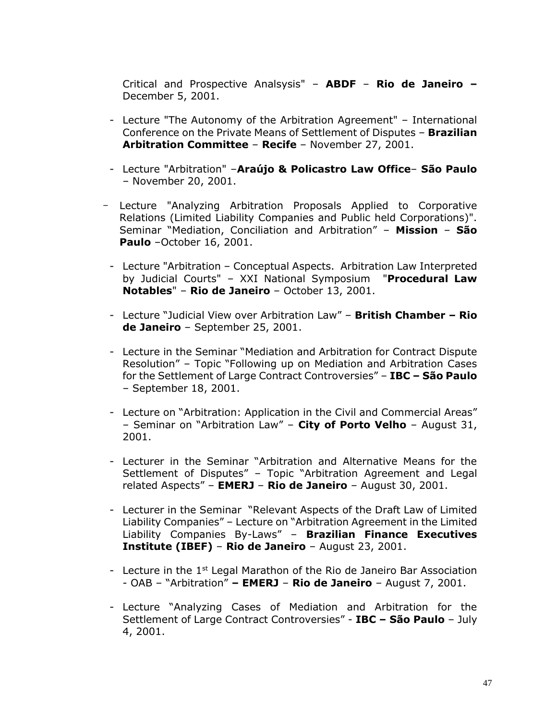Critical and Prospective Analsysis" – **ABDF** – **Rio de Janeiro –** December 5, 2001.

- Lecture "The Autonomy of the Arbitration Agreement" International Conference on the Private Means of Settlement of Disputes – **Brazilian Arbitration Committee** – **Recife** – November 27, 2001.
- Lecture "Arbitration" –**Araújo & Policastro Law Office São Paulo** – November 20, 2001.
- Lecture "Analyzing Arbitration Proposals Applied to Corporative Relations (Limited Liability Companies and Public held Corporations)". Seminar "Mediation, Conciliation and Arbitration" – **Mission** – **São Paulo** –October 16, 2001.
	- Lecture "Arbitration Conceptual Aspects. Arbitration Law Interpreted by Judicial Courts" – XXI National Symposium "**Procedural Law Notables**" – **Rio de Janeiro** – October 13, 2001.
	- Lecture "Judicial View over Arbitration Law" **British Chamber – Rio de Janeiro** – September 25, 2001.
	- Lecture in the Seminar "Mediation and Arbitration for Contract Dispute Resolution" – Topic "Following up on Mediation and Arbitration Cases for the Settlement of Large Contract Controversies" – **IBC – São Paulo** – September 18, 2001.
	- Lecture on "Arbitration: Application in the Civil and Commercial Areas" – Seminar on "Arbitration Law" – **City of Porto Velho** – August 31, 2001.
	- Lecturer in the Seminar "Arbitration and Alternative Means for the Settlement of Disputes" – Topic "Arbitration Agreement and Legal related Aspects" – **EMERJ** – **Rio de Janeiro** – August 30, 2001.
	- Lecturer in the Seminar "Relevant Aspects of the Draft Law of Limited Liability Companies" – Lecture on "Arbitration Agreement in the Limited Liability Companies By-Laws" – **Brazilian Finance Executives Institute (IBEF)** – **Rio de Janeiro** – August 23, 2001.
	- Lecture in the  $1<sup>st</sup>$  Legal Marathon of the Rio de Janeiro Bar Association - OAB – "Arbitration" **– EMERJ** – **Rio de Janeiro** – August 7, 2001.
	- Lecture "Analyzing Cases of Mediation and Arbitration for the Settlement of Large Contract Controversies" - **IBC – São Paulo** – July 4, 2001.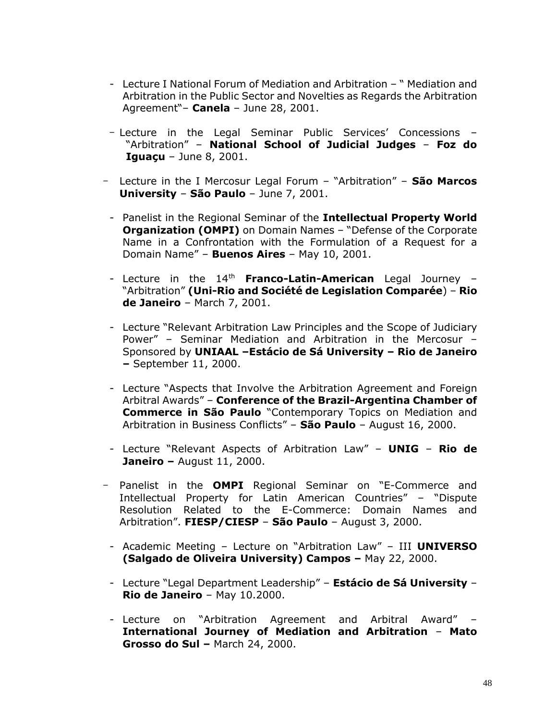- Lecture I National Forum of Mediation and Arbitration " Mediation and Arbitration in the Public Sector and Novelties as Regards the Arbitration Agreement"– **Canela** – June 28, 2001.
- Lecture in the Legal Seminar Public Services' Concessions "Arbitration" – **National School of Judicial Judges** – **Foz do Iguaçu** – June 8, 2001.
- Lecture in the I Mercosur Legal Forum "Arbitration" **São Marcos University** – **São Paulo** – June 7, 2001.
	- Panelist in the Regional Seminar of the **Intellectual Property World Organization (OMPI)** on Domain Names – "Defense of the Corporate Name in a Confrontation with the Formulation of a Request for a Domain Name" – **Buenos Aires** – May 10, 2001.
	- Lecture in the 14<sup>th</sup> Franco-Latin-American Legal Journey -"Arbitration" **(Uni-Rio and Société de Legislation Comparée**) – **Rio de Janeiro** – March 7, 2001.
	- Lecture "Relevant Arbitration Law Principles and the Scope of Judiciary Power" – Seminar Mediation and Arbitration in the Mercosur – Sponsored by **UNIAAL –Estácio de Sá University – Rio de Janeiro –** September 11, 2000.
	- Lecture "Aspects that Involve the Arbitration Agreement and Foreign Arbitral Awards" – **Conference of the Brazil-Argentina Chamber of Commerce in São Paulo** "Contemporary Topics on Mediation and Arbitration in Business Conflicts" – **São Paulo** – August 16, 2000.
	- Lecture "Relevant Aspects of Arbitration Law" **UNIG Rio de Janeiro –** August 11, 2000.
- Panelist in the **OMPI** Regional Seminar on "E-Commerce and Intellectual Property for Latin American Countries" – "Dispute Resolution Related to the E-Commerce: Domain Names and Arbitration". **FIESP/CIESP** – **São Paulo** – August 3, 2000.
	- Academic Meeting Lecture on "Arbitration Law" III **UNIVERSO (Salgado de Oliveira University) Campos –** May 22, 2000.
	- Lecture "Legal Department Leadership" **Estácio de Sá University Rio de Janeiro** – May 10.2000.
	- Lecture on "Arbitration Agreement and Arbitral Award" **International Journey of Mediation and Arbitration** – **Mato Grosso do Sul –** March 24, 2000.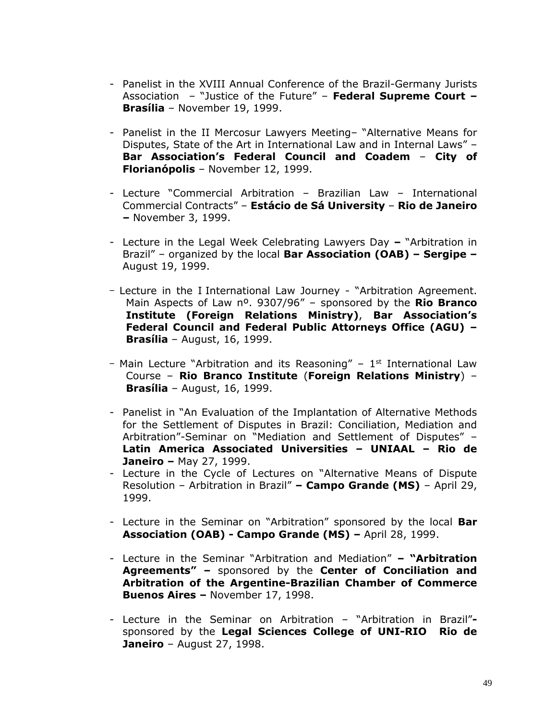- Panelist in the XVIII Annual Conference of the Brazil-Germany Jurists Association – "Justice of the Future" – **Federal Supreme Court – Brasília** – November 19, 1999.
- Panelist in the II Mercosur Lawyers Meeting– "Alternative Means for Disputes, State of the Art in International Law and in Internal Laws" – **Bar Association's Federal Council and Coadem** – **City of Florianópolis** – November 12, 1999.
- Lecture "Commercial Arbitration Brazilian Law International Commercial Contracts" – **Estácio de Sá University** – **Rio de Janeiro –** November 3, 1999.
- Lecture in the Legal Week Celebrating Lawyers Day **–** "Arbitration in Brazil" – organized by the local **Bar Association (OAB) – Sergipe –** August 19, 1999.
- Lecture in the I International Law Journey "Arbitration Agreement. Main Aspects of Law nº. 9307/96" – sponsored by the **Rio Branco Institute (Foreign Relations Ministry)**, **Bar Association's Federal Council and Federal Public Attorneys Office (AGU) – Brasília** – August, 16, 1999.
- Main Lecture "Arbitration and its Reasoning" 1<sup>st</sup> International Law Course – **Rio Branco Institute** (**Foreign Relations Ministry**) – **Brasília** – August, 16, 1999.
- Panelist in "An Evaluation of the Implantation of Alternative Methods for the Settlement of Disputes in Brazil: Conciliation, Mediation and Arbitration"-Seminar on "Mediation and Settlement of Disputes" – **Latin America Associated Universities – UNIAAL – Rio de Janeiro –** May 27, 1999.
- Lecture in the Cycle of Lectures on "Alternative Means of Dispute Resolution – Arbitration in Brazil" **– Campo Grande (MS)** – April 29, 1999.
- Lecture in the Seminar on "Arbitration" sponsored by the local **Bar Association (OAB) - Campo Grande (MS) –** April 28, 1999.
- Lecture in the Seminar "Arbitration and Mediation" **– "Arbitration Agreements" –** sponsored by the **Center of Conciliation and Arbitration of the Argentine-Brazilian Chamber of Commerce Buenos Aires –** November 17, 1998.
- Lecture in the Seminar on Arbitration "Arbitration in Brazil" sponsored by the **Legal Sciences College of UNI-RIO Rio de Janeiro** – August 27, 1998.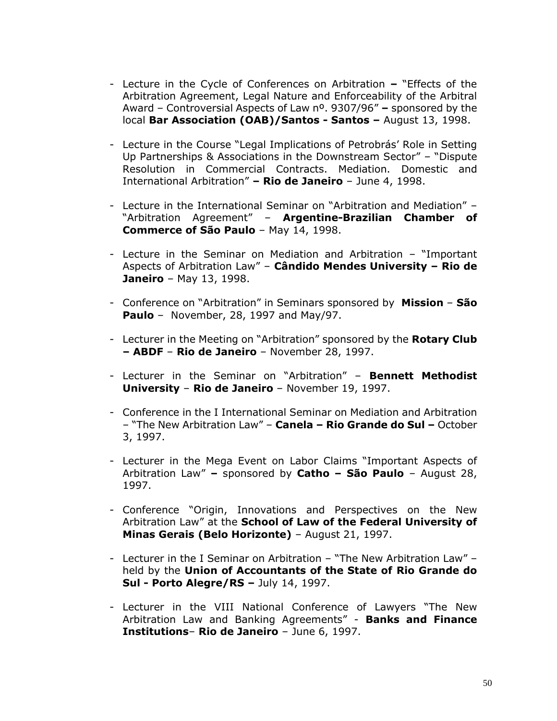- Lecture in the Cycle of Conferences on Arbitration **–** "Effects of the Arbitration Agreement, Legal Nature and Enforceability of the Arbitral Award – Controversial Aspects of Law nº. 9307/96" **–** sponsored by the local **Bar Association (OAB)/Santos - Santos –** August 13, 1998.
- Lecture in the Course "Legal Implications of Petrobrás' Role in Setting Up Partnerships & Associations in the Downstream Sector" – "Dispute Resolution in Commercial Contracts. Mediation. Domestic and International Arbitration" **– Rio de Janeiro** – June 4, 1998.
- Lecture in the International Seminar on "Arbitration and Mediation" "Arbitration Agreement" – **Argentine-Brazilian Chamber of Commerce of São Paulo** – May 14, 1998.
- Lecture in the Seminar on Mediation and Arbitration "Important Aspects of Arbitration Law" – **Cândido Mendes University – Rio de Janeiro** – May 13, 1998.
- Conference on "Arbitration" in Seminars sponsored by **Mission São Paulo** – November, 28, 1997 and May/97.
- Lecturer in the Meeting on "Arbitration" sponsored by the **Rotary Club – ABDF** – **Rio de Janeiro** – November 28, 1997.
- Lecturer in the Seminar on "Arbitration" **Bennett Methodist University** – **Rio de Janeiro** – November 19, 1997.
- Conference in the I International Seminar on Mediation and Arbitration – "The New Arbitration Law" – **Canela – Rio Grande do Sul –** October 3, 1997.
- Lecturer in the Mega Event on Labor Claims "Important Aspects of Arbitration Law" **–** sponsored by **Catho – São Paulo** – August 28, 1997.
- Conference "Origin, Innovations and Perspectives on the New Arbitration Law" at the **School of Law of the Federal University of Minas Gerais (Belo Horizonte)** – August 21, 1997.
- Lecturer in the I Seminar on Arbitration "The New Arbitration Law" held by the **Union of Accountants of the State of Rio Grande do Sul - Porto Alegre/RS –** July 14, 1997.
- Lecturer in the VIII National Conference of Lawyers "The New Arbitration Law and Banking Agreements" - **Banks and Finance Institutions**– **Rio de Janeiro** – June 6, 1997.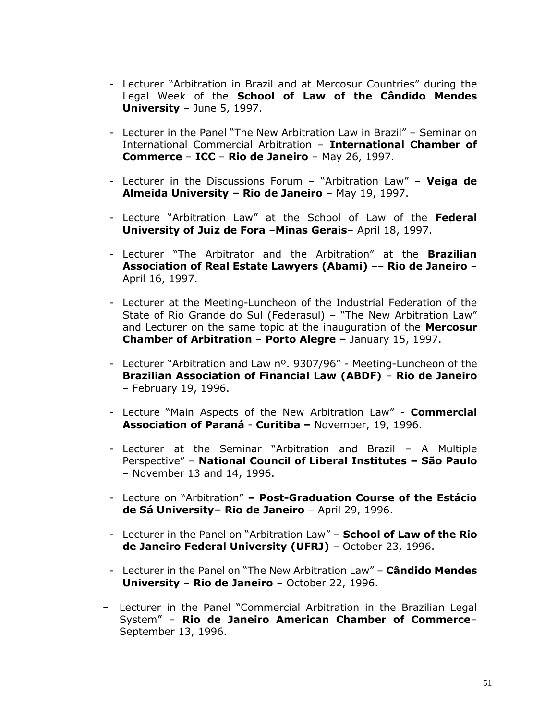- Lecturer "Arbitration in Brazil and at Mercosur Countries" during the Legal Week of the **School of Law of the Cândido Mendes University** – June 5, 1997.
- Lecturer in the Panel "The New Arbitration Law in Brazil" Seminar on International Commercial Arbitration – **International Chamber of Commerce** – **ICC** – **Rio de Janeiro** – May 26, 1997.
- Lecturer in the Discussions Forum "Arbitration Law" **Veiga de Almeida University – Rio de Janeiro** – May 19, 1997.
- Lecture "Arbitration Law" at the School of Law of the **Federal University of Juiz de Fora** –**Minas Gerais**– April 18, 1997.
- Lecturer "The Arbitrator and the Arbitration" at the **Brazilian Association of Real Estate Lawyers (Abami)** –– **Rio de Janeiro** – April 16, 1997.
- Lecturer at the Meeting-Luncheon of the Industrial Federation of the State of Rio Grande do Sul (Federasul) – "The New Arbitration Law" and Lecturer on the same topic at the inauguration of the **Mercosur Chamber of Arbitration** – **Porto Alegre –** January 15, 1997.
- Lecturer "Arbitration and Law nº. 9307/96" Meeting-Luncheon of the **Brazilian Association of Financial Law (ABDF)** – **Rio de Janeiro** – February 19, 1996.
- Lecture "Main Aspects of the New Arbitration Law" **Commercial Association of Paraná** - **Curitiba –** November, 19, 1996.
- Lecturer at the Seminar "Arbitration and Brazil A Multiple Perspective" – **National Council of Liberal Institutes – São Paulo** – November 13 and 14, 1996.
- Lecture on "Arbitration" **– Post-Graduation Course of the Estácio de Sá University– Rio de Janeiro** – April 29, 1996.
- Lecturer in the Panel on "Arbitration Law" **School of Law of the Rio de Janeiro Federal University (UFRJ)** – October 23, 1996.
- Lecturer in the Panel on "The New Arbitration Law" **Cândido Mendes University** – **Rio de Janeiro** – October 22, 1996.
- Lecturer in the Panel "Commercial Arbitration in the Brazilian Legal System" – **Rio de Janeiro American Chamber of Commerce**– September 13, 1996.